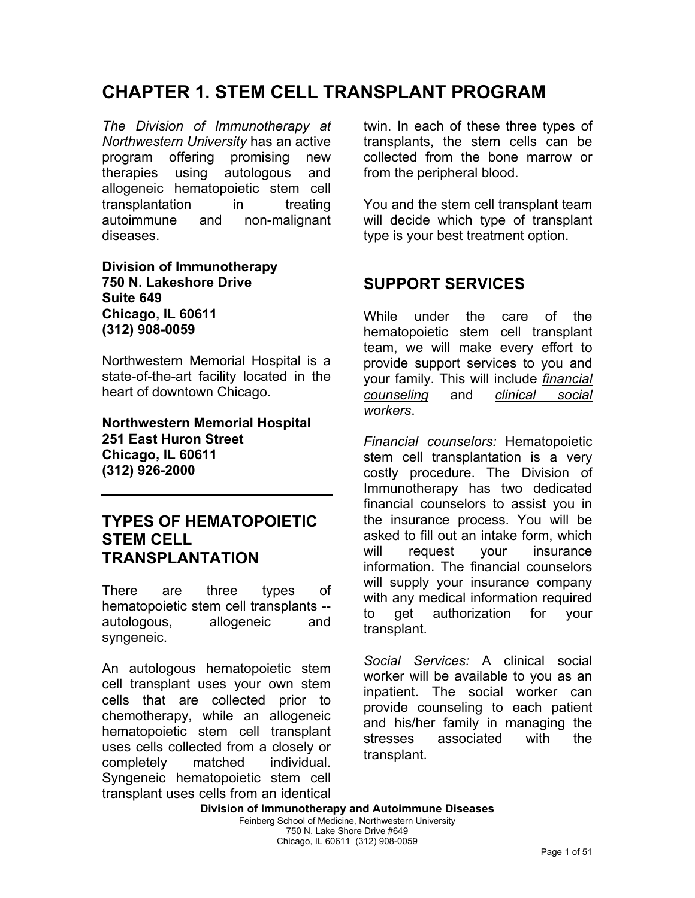# **CHAPTER 1. STEM CELL TRANSPLANT PROGRAM**

*The Division of Immunotherapy at Northwestern University* has an active program offering promising new therapies using autologous and allogeneic hematopoietic stem cell transplantation in treating autoimmune and non-malignant diseases.

**Division of Immunotherapy 750 N. Lakeshore Drive Suite 649 Chicago, IL 60611 (312) 908-0059** 

Northwestern Memorial Hospital is a state-of-the-art facility located in the heart of downtown Chicago.

**Northwestern Memorial Hospital 251 East Huron Street Chicago, IL 60611 (312) 926-2000** 

#### **TYPES OF HEMATOPOIETIC STEM CELL TRANSPLANTATION**

There are three types of hematopoietic stem cell transplants - autologous, allogeneic and syngeneic.

An autologous hematopoietic stem cell transplant uses your own stem cells that are collected prior to chemotherapy, while an allogeneic hematopoietic stem cell transplant uses cells collected from a closely or completely matched individual. Syngeneic hematopoietic stem cell transplant uses cells from an identical twin. In each of these three types of transplants, the stem cells can be collected from the bone marrow or from the peripheral blood.

You and the stem cell transplant team will decide which type of transplant type is your best treatment option.

### **SUPPORT SERVICES**

While under the care of the hematopoietic stem cell transplant team, we will make every effort to provide support services to you and your family. This will include *financial counseling* and *clinical social workers*.

*Financial counselors:* Hematopoietic stem cell transplantation is a very costly procedure. The Division of Immunotherapy has two dedicated financial counselors to assist you in the insurance process. You will be asked to fill out an intake form, which will request your insurance information. The financial counselors will supply your insurance company with any medical information required to get authorization for your transplant.

*Social Services:* A clinical social worker will be available to you as an inpatient. The social worker can provide counseling to each patient and his/her family in managing the stresses associated with the transplant.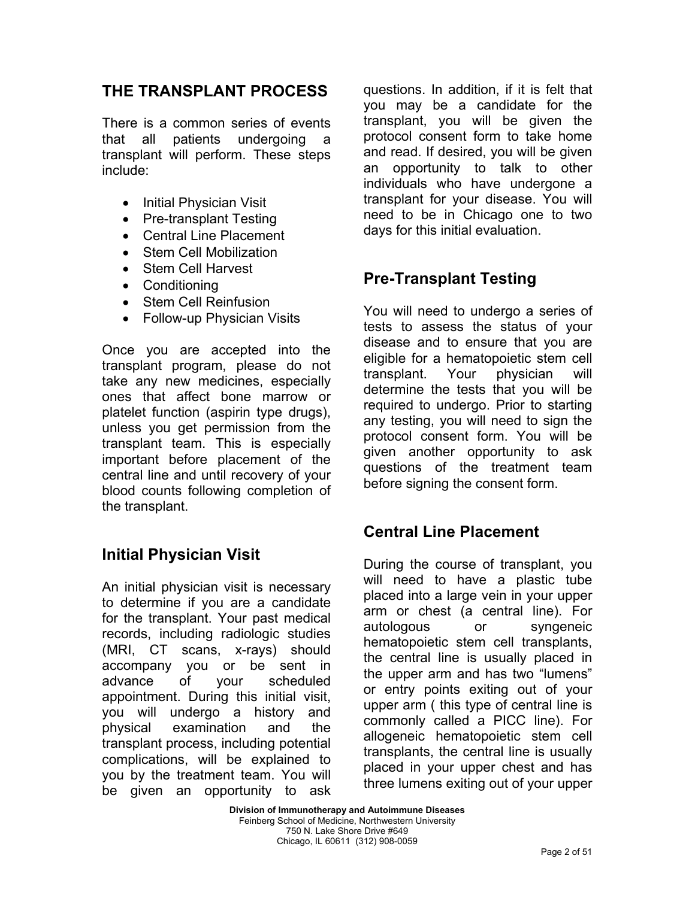### **THE TRANSPLANT PROCESS**

There is a common series of events that all patients undergoing a transplant will perform. These steps include:

- Initial Physician Visit
- Pre-transplant Testing
- Central Line Placement
- **Stem Cell Mobilization**
- Stem Cell Harvest
- Conditioning
- Stem Cell Reinfusion
- Follow-up Physician Visits

Once you are accepted into the transplant program, please do not take any new medicines, especially ones that affect bone marrow or platelet function (aspirin type drugs), unless you get permission from the transplant team. This is especially important before placement of the central line and until recovery of your blood counts following completion of the transplant.

## **Initial Physician Visit**

An initial physician visit is necessary to determine if you are a candidate for the transplant. Your past medical records, including radiologic studies (MRI, CT scans, x-rays) should accompany you or be sent in advance of your scheduled appointment. During this initial visit, you will undergo a history and physical examination and the transplant process, including potential complications, will be explained to you by the treatment team. You will be given an opportunity to ask questions. In addition, if it is felt that you may be a candidate for the transplant, you will be given the protocol consent form to take home and read. If desired, you will be given an opportunity to talk to other individuals who have undergone a transplant for your disease. You will need to be in Chicago one to two days for this initial evaluation.

## **Pre-Transplant Testing**

You will need to undergo a series of tests to assess the status of your disease and to ensure that you are eligible for a hematopoietic stem cell transplant. Your physician will determine the tests that you will be required to undergo. Prior to starting any testing, you will need to sign the protocol consent form. You will be given another opportunity to ask questions of the treatment team before signing the consent form.

## **Central Line Placement**

During the course of transplant, you will need to have a plastic tube placed into a large vein in your upper arm or chest (a central line). For autologous or syngeneic hematopoietic stem cell transplants, the central line is usually placed in the upper arm and has two "lumens" or entry points exiting out of your upper arm ( this type of central line is commonly called a PICC line). For allogeneic hematopoietic stem cell transplants, the central line is usually placed in your upper chest and has three lumens exiting out of your upper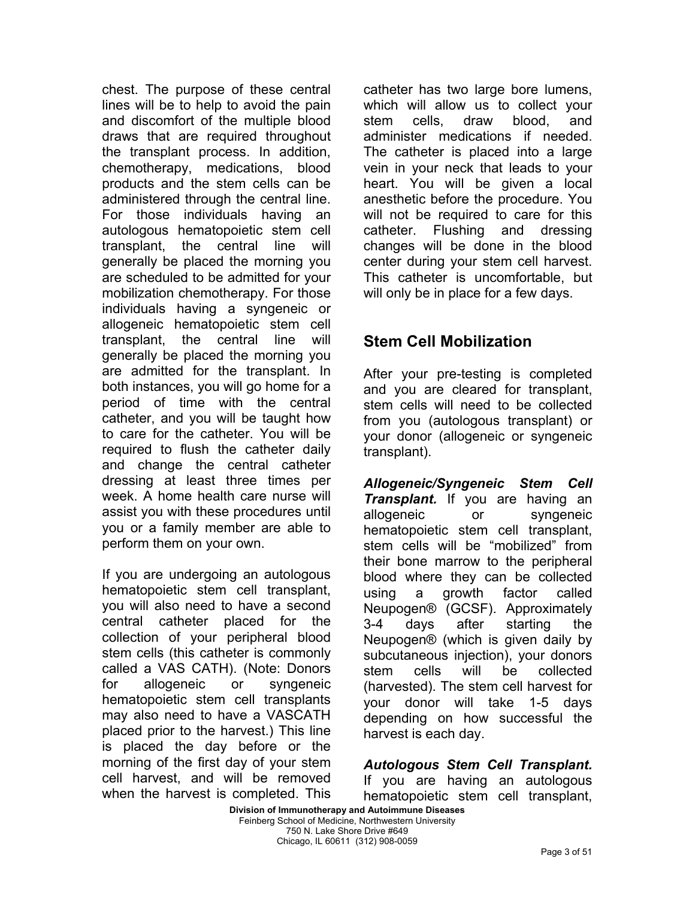chest. The purpose of these central lines will be to help to avoid the pain and discomfort of the multiple blood draws that are required throughout the transplant process. In addition, chemotherapy, medications, blood products and the stem cells can be administered through the central line. For those individuals having an autologous hematopoietic stem cell transplant, the central line will generally be placed the morning you are scheduled to be admitted for your mobilization chemotherapy. For those individuals having a syngeneic or allogeneic hematopoietic stem cell transplant, the central line will generally be placed the morning you are admitted for the transplant. In both instances, you will go home for a period of time with the central catheter, and you will be taught how to care for the catheter. You will be required to flush the catheter daily and change the central catheter dressing at least three times per week. A home health care nurse will assist you with these procedures until you or a family member are able to perform them on your own.

If you are undergoing an autologous hematopoietic stem cell transplant, you will also need to have a second central catheter placed for the collection of your peripheral blood stem cells (this catheter is commonly called a VAS CATH). (Note: Donors for allogeneic or syngeneic hematopoietic stem cell transplants may also need to have a VASCATH placed prior to the harvest.) This line is placed the day before or the morning of the first day of your stem cell harvest, and will be removed when the harvest is completed. This

catheter has two large bore lumens, which will allow us to collect your stem cells, draw blood, and administer medications if needed. The catheter is placed into a large vein in your neck that leads to your heart. You will be given a local anesthetic before the procedure. You will not be required to care for this catheter. Flushing and dressing changes will be done in the blood center during your stem cell harvest. This catheter is uncomfortable, but will only be in place for a few days.

## **Stem Cell Mobilization**

After your pre-testing is completed and you are cleared for transplant, stem cells will need to be collected from you (autologous transplant) or your donor (allogeneic or syngeneic transplant).

*Allogeneic/Syngeneic Stem Cell Transplant.* If you are having an allogeneic or syngeneic hematopoietic stem cell transplant, stem cells will be "mobilized" from their bone marrow to the peripheral blood where they can be collected using a growth factor called Neupogen® (GCSF). Approximately 3-4 days after starting the Neupogen® (which is given daily by subcutaneous injection), your donors stem cells will be collected (harvested). The stem cell harvest for your donor will take 1-5 days depending on how successful the harvest is each day.

*Autologous Stem Cell Transplant.*  If you are having an autologous hematopoietic stem cell transplant,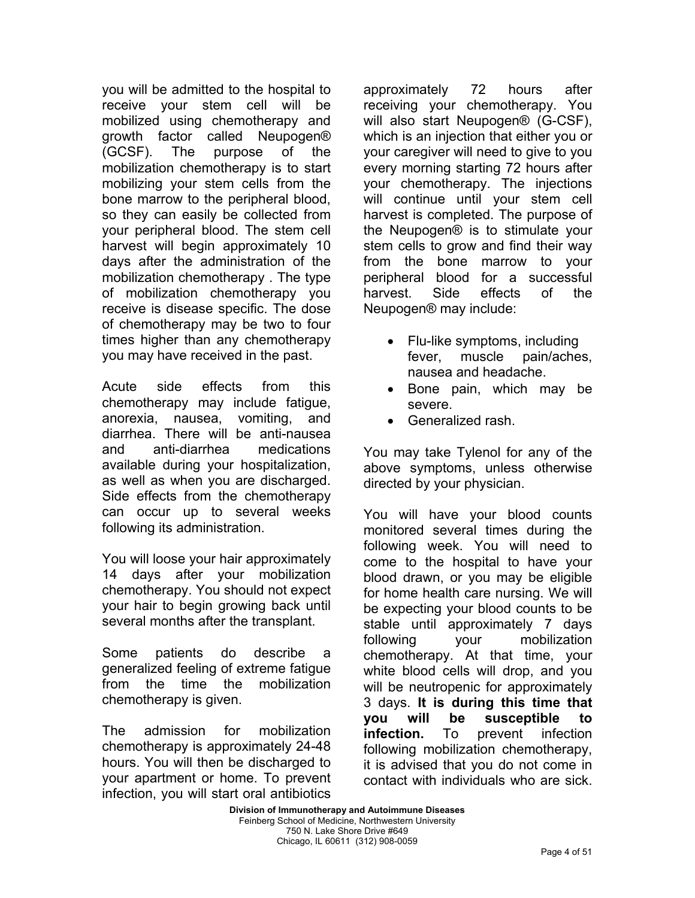you will be admitted to the hospital to receive your stem cell will be mobilized using chemotherapy and growth factor called Neupogen® (GCSF). The purpose of the mobilization chemotherapy is to start mobilizing your stem cells from the bone marrow to the peripheral blood, so they can easily be collected from your peripheral blood. The stem cell harvest will begin approximately 10 days after the administration of the mobilization chemotherapy . The type of mobilization chemotherapy you receive is disease specific. The dose of chemotherapy may be two to four times higher than any chemotherapy you may have received in the past.

Acute side effects from this chemotherapy may include fatigue, anorexia, nausea, vomiting, and diarrhea. There will be anti-nausea and anti-diarrhea medications available during your hospitalization, as well as when you are discharged. Side effects from the chemotherapy can occur up to several weeks following its administration.

You will loose your hair approximately 14 days after your mobilization chemotherapy. You should not expect your hair to begin growing back until several months after the transplant.

Some patients do describe a generalized feeling of extreme fatigue from the time the mobilization chemotherapy is given.

The admission for mobilization chemotherapy is approximately 24-48 hours. You will then be discharged to your apartment or home. To prevent infection, you will start oral antibiotics

approximately 72 hours after receiving your chemotherapy. You will also start Neupogen® (G-CSF), which is an injection that either you or your caregiver will need to give to you every morning starting 72 hours after your chemotherapy. The injections will continue until your stem cell harvest is completed. The purpose of the Neupogen® is to stimulate your stem cells to grow and find their way from the bone marrow to your peripheral blood for a successful harvest. Side effects of the Neupogen® may include:

- Flu-like symptoms, including fever, muscle pain/aches, nausea and headache.
- Bone pain, which may be severe.
- Generalized rash.

You may take Tylenol for any of the above symptoms, unless otherwise directed by your physician.

You will have your blood counts monitored several times during the following week. You will need to come to the hospital to have your blood drawn, or you may be eligible for home health care nursing. We will be expecting your blood counts to be stable until approximately 7 days following your mobilization chemotherapy. At that time, your white blood cells will drop, and you will be neutropenic for approximately 3 days. **It is during this time that you will be susceptible to infection.** To prevent infection following mobilization chemotherapy, it is advised that you do not come in contact with individuals who are sick.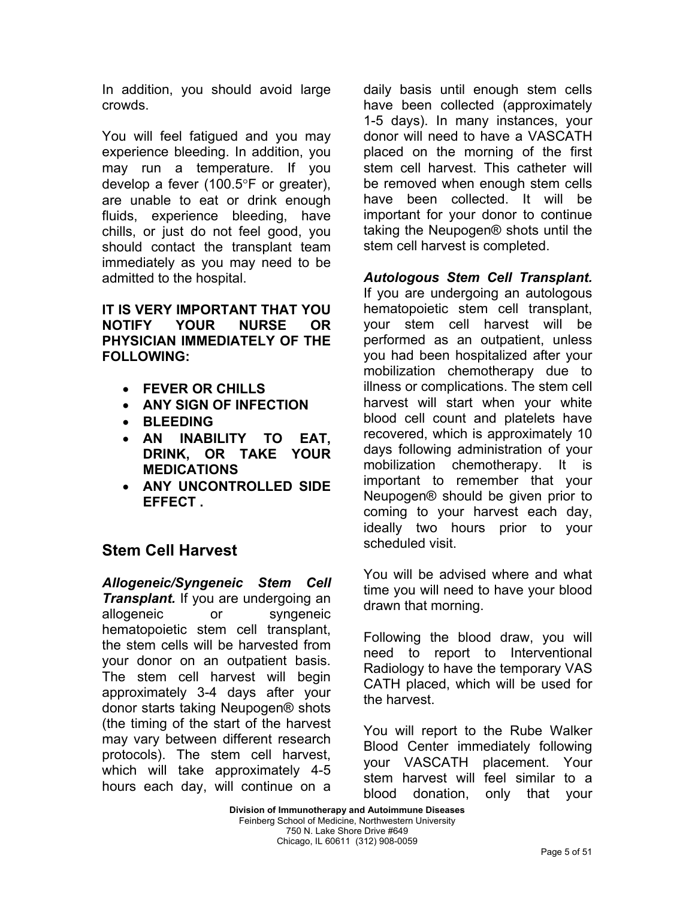In addition, you should avoid large crowds.

You will feel fatigued and you may experience bleeding. In addition, you may run a temperature. If you develop a fever (100.5°F or greater), are unable to eat or drink enough fluids, experience bleeding, have chills, or just do not feel good, you should contact the transplant team immediately as you may need to be admitted to the hospital.

**IT IS VERY IMPORTANT THAT YOU NOTIFY YOUR NURSE OR PHYSICIAN IMMEDIATELY OF THE FOLLOWING:** 

- **FEVER OR CHILLS**
- **ANY SIGN OF INFECTION**
- **BLEEDING**
- **AN INABILITY TO EAT, DRINK, OR TAKE YOUR MEDICATIONS**
- **ANY UNCONTROLLED SIDE EFFECT .**

## **Stem Cell Harvest**

*Allogeneic/Syngeneic Stem Cell Transplant.* If you are undergoing an allogeneic or syngeneic hematopoietic stem cell transplant, the stem cells will be harvested from your donor on an outpatient basis. The stem cell harvest will begin approximately 3-4 days after your donor starts taking Neupogen® shots (the timing of the start of the harvest may vary between different research protocols). The stem cell harvest, which will take approximately 4-5 hours each day, will continue on a daily basis until enough stem cells have been collected (approximately 1-5 days). In many instances, your donor will need to have a VASCATH placed on the morning of the first stem cell harvest. This catheter will be removed when enough stem cells have been collected. It will be important for your donor to continue taking the Neupogen® shots until the stem cell harvest is completed.

*Autologous Stem Cell Transplant.*  If you are undergoing an autologous hematopoietic stem cell transplant, your stem cell harvest will be performed as an outpatient, unless you had been hospitalized after your mobilization chemotherapy due to illness or complications. The stem cell harvest will start when your white blood cell count and platelets have recovered, which is approximately 10 days following administration of your mobilization chemotherapy. It is important to remember that your Neupogen® should be given prior to coming to your harvest each day, ideally two hours prior to your scheduled visit.

You will be advised where and what time you will need to have your blood drawn that morning.

Following the blood draw, you will need to report to Interventional Radiology to have the temporary VAS CATH placed, which will be used for the harvest.

You will report to the Rube Walker Blood Center immediately following your VASCATH placement. Your stem harvest will feel similar to a blood donation, only that your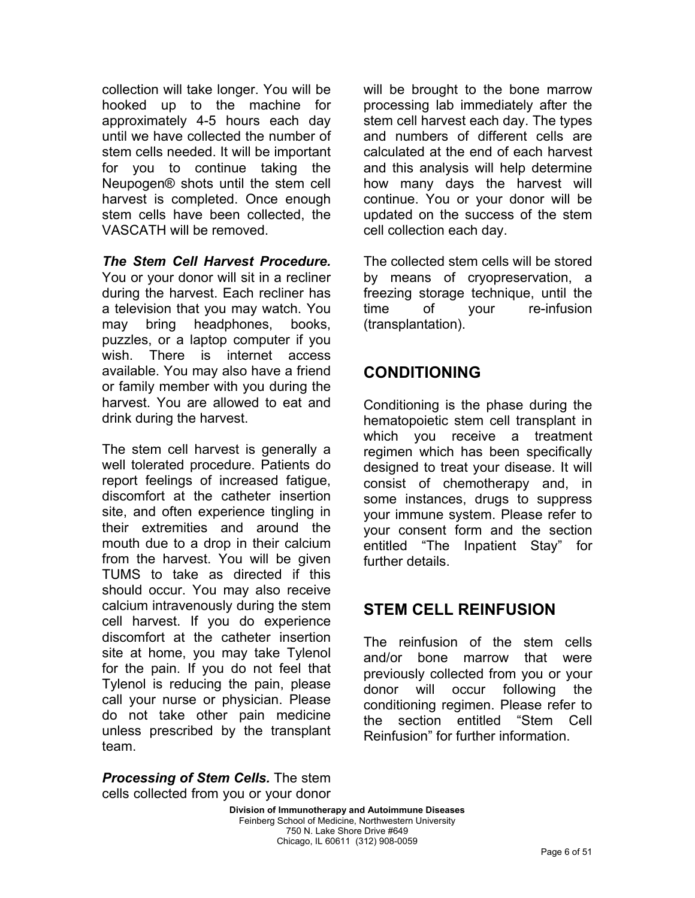collection will take longer. You will be hooked up to the machine for approximately 4-5 hours each day until we have collected the number of stem cells needed. It will be important for you to continue taking the Neupogen® shots until the stem cell harvest is completed. Once enough stem cells have been collected, the VASCATH will be removed.

*The Stem Cell Harvest Procedure.*  You or your donor will sit in a recliner during the harvest. Each recliner has a television that you may watch. You may bring headphones, books, puzzles, or a laptop computer if you wish. There is internet access available. You may also have a friend or family member with you during the harvest. You are allowed to eat and drink during the harvest.

The stem cell harvest is generally a well tolerated procedure. Patients do report feelings of increased fatigue, discomfort at the catheter insertion site, and often experience tingling in their extremities and around the mouth due to a drop in their calcium from the harvest. You will be given TUMS to take as directed if this should occur. You may also receive calcium intravenously during the stem cell harvest. If you do experience discomfort at the catheter insertion site at home, you may take Tylenol for the pain. If you do not feel that Tylenol is reducing the pain, please call your nurse or physician. Please do not take other pain medicine unless prescribed by the transplant team.

will be brought to the bone marrow processing lab immediately after the stem cell harvest each day. The types and numbers of different cells are calculated at the end of each harvest and this analysis will help determine how many days the harvest will continue. You or your donor will be updated on the success of the stem cell collection each day.

The collected stem cells will be stored by means of cryopreservation, a freezing storage technique, until the time of your re-infusion (transplantation).

## **CONDITIONING**

Conditioning is the phase during the hematopoietic stem cell transplant in which you receive a treatment regimen which has been specifically designed to treat your disease. It will consist of chemotherapy and, in some instances, drugs to suppress your immune system. Please refer to your consent form and the section entitled "The Inpatient Stay" for further details.

## **STEM CELL REINFUSION**

The reinfusion of the stem cells and/or bone marrow that were previously collected from you or your donor will occur following the conditioning regimen. Please refer to the section entitled "Stem Cell Reinfusion" for further information.

*Processing of Stem Cells.* The stem cells collected from you or your donor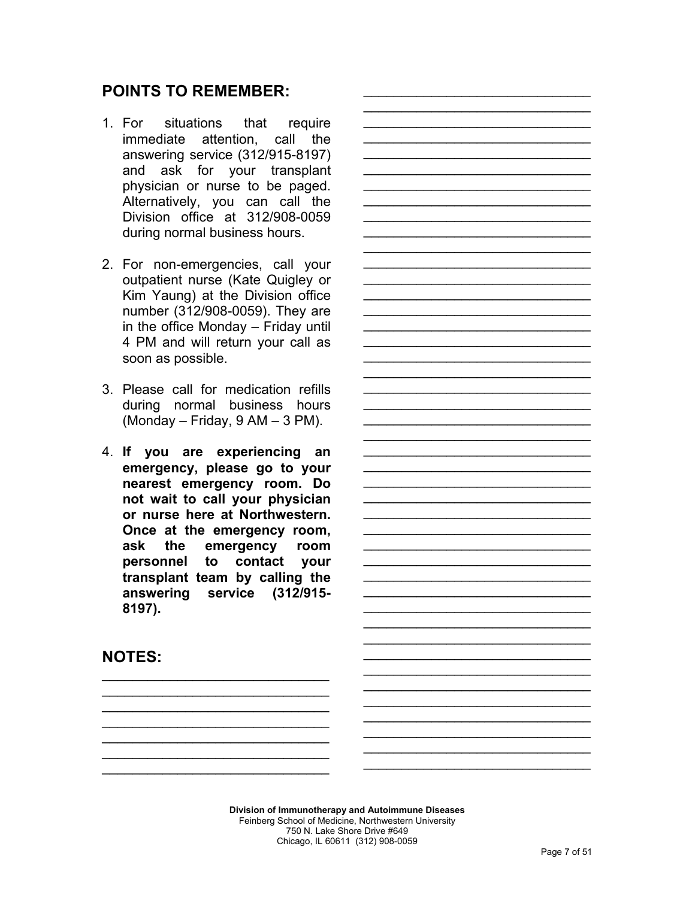### **POINTS TO REMEMBER:**

- 1. For situations that require immediate attention, call the answering service (312/915-8197) and ask for your transplant physician or nurse to be paged. Alternatively, you can call the Division office at 312/908-0059 during normal business hours.
- 2. For non-emergencies, call your outpatient nurse (Kate Quigley or Kim Yaung) at the Division office number (312/908-0059). They are in the office Monday – Friday until 4 PM and will return your call as soon as possible.
- 3. Please call for medication refills during normal business hours (Monday – Friday, 9 AM – 3 PM).
- 4. **If you are experiencing an emergency, please go to your nearest emergency room. Do not wait to call your physician or nurse here at Northwestern. Once at the emergency room, ask the emergency room personnel to contact your transplant team by calling the answering service (312/915- 8197).**

 $\mathcal{L}=\{1,2,3,4,5\}$  $\mathcal{L}=\{1,2,3,4,5\}$  $\mathcal{L}=\{1,2,3,4,5\}$  $\mathcal{L}_\text{max}$  and  $\mathcal{L}_\text{max}$  and  $\mathcal{L}_\text{max}$  $\mathcal{L}_\text{max}$  and  $\mathcal{L}_\text{max}$  and  $\mathcal{L}_\text{max}$ 

 $\mathcal{L}=\{1,2,3,4,5\}$ 

### **NOTES:**

**Division of Immunotherapy and Autoimmune Diseases**  Feinberg School of Medicine, Northwestern University 750 N. Lake Shore Drive #649 Chicago, IL 60611 (312) 908-0059

 $\mathcal{L}_\text{max}$  and  $\mathcal{L}_\text{max}$  and  $\mathcal{L}_\text{max}$ \_\_\_\_\_\_\_\_\_\_\_\_\_\_\_\_\_\_\_\_\_\_\_\_\_\_\_\_\_\_ \_\_\_\_\_\_\_\_\_\_\_\_\_\_\_\_\_\_\_\_\_\_\_\_\_\_\_\_\_\_ \_\_\_\_\_\_\_\_\_\_\_\_\_\_\_\_\_\_\_\_\_\_\_\_\_\_\_\_\_\_  $\mathcal{L}_\text{max}$  and  $\mathcal{L}_\text{max}$  and  $\mathcal{L}_\text{max}$  $\mathcal{L}_\text{max}$  and  $\mathcal{L}_\text{max}$  and  $\mathcal{L}_\text{max}$ 

\_\_\_\_\_\_\_\_\_\_\_\_\_\_\_\_\_\_\_\_\_\_\_\_\_\_\_\_\_\_ \_\_\_\_\_\_\_\_\_\_\_\_\_\_\_\_\_\_\_\_\_\_\_\_\_\_\_\_\_\_  $\mathcal{L}_\text{max}$  and  $\mathcal{L}_\text{max}$  and  $\mathcal{L}_\text{max}$  $\mathcal{L}_\text{max}$  and  $\mathcal{L}_\text{max}$  and  $\mathcal{L}_\text{max}$ \_\_\_\_\_\_\_\_\_\_\_\_\_\_\_\_\_\_\_\_\_\_\_\_\_\_\_\_\_\_ \_\_\_\_\_\_\_\_\_\_\_\_\_\_\_\_\_\_\_\_\_\_\_\_\_\_\_\_\_\_ \_\_\_\_\_\_\_\_\_\_\_\_\_\_\_\_\_\_\_\_\_\_\_\_\_\_\_\_\_\_  $\mathcal{L}_\text{max}$  and  $\mathcal{L}_\text{max}$  and  $\mathcal{L}_\text{max}$  $\mathcal{L}_\text{max}$  and  $\mathcal{L}_\text{max}$  and  $\mathcal{L}_\text{max}$ \_\_\_\_\_\_\_\_\_\_\_\_\_\_\_\_\_\_\_\_\_\_\_\_\_\_\_\_\_\_ \_\_\_\_\_\_\_\_\_\_\_\_\_\_\_\_\_\_\_\_\_\_\_\_\_\_\_\_\_\_ \_\_\_\_\_\_\_\_\_\_\_\_\_\_\_\_\_\_\_\_\_\_\_\_\_\_\_\_\_\_  $\mathcal{L}_\text{max}$  and  $\mathcal{L}_\text{max}$  and  $\mathcal{L}_\text{max}$  $\mathcal{L}_\text{max}$  and  $\mathcal{L}_\text{max}$  and  $\mathcal{L}_\text{max}$ \_\_\_\_\_\_\_\_\_\_\_\_\_\_\_\_\_\_\_\_\_\_\_\_\_\_\_\_\_\_ \_\_\_\_\_\_\_\_\_\_\_\_\_\_\_\_\_\_\_\_\_\_\_\_\_\_\_\_\_\_ \_\_\_\_\_\_\_\_\_\_\_\_\_\_\_\_\_\_\_\_\_\_\_\_\_\_\_\_\_\_

 $\mathcal{L}_\text{max}$  and  $\mathcal{L}_\text{max}$  and  $\mathcal{L}_\text{max}$ \_\_\_\_\_\_\_\_\_\_\_\_\_\_\_\_\_\_\_\_\_\_\_\_\_\_\_\_\_\_ \_\_\_\_\_\_\_\_\_\_\_\_\_\_\_\_\_\_\_\_\_\_\_\_\_\_\_\_\_\_  $\mathcal{L}_\text{max}$  and  $\mathcal{L}_\text{max}$  and  $\mathcal{L}_\text{max}$  and  $\mathcal{L}_\text{max}$  $\mathcal{L}_\text{max}$  and  $\mathcal{L}_\text{max}$  and  $\mathcal{L}_\text{max}$  and  $\mathcal{L}_\text{max}$ \_\_\_\_\_\_\_\_\_\_\_\_\_\_\_\_\_\_\_\_\_\_\_\_\_\_\_\_\_\_ \_\_\_\_\_\_\_\_\_\_\_\_\_\_\_\_\_\_\_\_\_\_\_\_\_\_\_\_\_\_ \_\_\_\_\_\_\_\_\_\_\_\_\_\_\_\_\_\_\_\_\_\_\_\_\_\_\_\_\_\_  $\mathcal{L}_\text{max}$  and  $\mathcal{L}_\text{max}$  and  $\mathcal{L}_\text{max}$  and  $\mathcal{L}_\text{max}$  $\mathcal{L}_\text{max}$  and  $\mathcal{L}_\text{max}$  and  $\mathcal{L}_\text{max}$  and  $\mathcal{L}_\text{max}$ \_\_\_\_\_\_\_\_\_\_\_\_\_\_\_\_\_\_\_\_\_\_\_\_\_\_\_\_\_\_ \_\_\_\_\_\_\_\_\_\_\_\_\_\_\_\_\_\_\_\_\_\_\_\_\_\_\_\_\_\_ \_\_\_\_\_\_\_\_\_\_\_\_\_\_\_\_\_\_\_\_\_\_\_\_\_\_\_\_\_\_  $\mathcal{L}_\text{max}$  and  $\mathcal{L}_\text{max}$  and  $\mathcal{L}_\text{max}$  and  $\mathcal{L}_\text{max}$  $\mathcal{L}_\text{max}$  and  $\mathcal{L}_\text{max}$  and  $\mathcal{L}_\text{max}$  and  $\mathcal{L}_\text{max}$ \_\_\_\_\_\_\_\_\_\_\_\_\_\_\_\_\_\_\_\_\_\_\_\_\_\_\_\_\_\_ \_\_\_\_\_\_\_\_\_\_\_\_\_\_\_\_\_\_\_\_\_\_\_\_\_\_\_\_\_\_ \_\_\_\_\_\_\_\_\_\_\_\_\_\_\_\_\_\_\_\_\_\_\_\_\_\_\_\_\_\_  $\frac{1}{2}$  ,  $\frac{1}{2}$  ,  $\frac{1}{2}$  ,  $\frac{1}{2}$  ,  $\frac{1}{2}$  ,  $\frac{1}{2}$  ,  $\frac{1}{2}$  ,  $\frac{1}{2}$  ,  $\frac{1}{2}$  ,  $\frac{1}{2}$  ,  $\frac{1}{2}$  ,  $\frac{1}{2}$  ,  $\frac{1}{2}$  ,  $\frac{1}{2}$  ,  $\frac{1}{2}$  ,  $\frac{1}{2}$  ,  $\frac{1}{2}$  ,  $\frac{1}{2}$  ,  $\frac{1$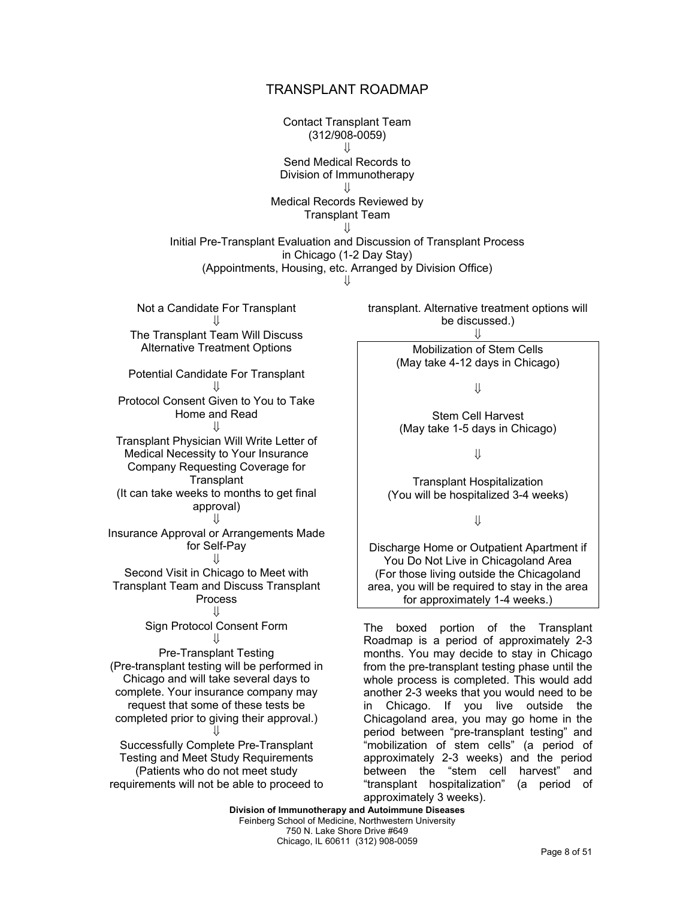#### TRANSPLANT ROADMAP

Contact Transplant Team (312/908-0059)  $\mathbf{\mathcal{L}}$ Send Medical Records to Division of Immunotherapy ⇓ Medical Records Reviewed by Transplant Team ⇓ Initial Pre-Transplant Evaluation and Discussion of Transplant Process in Chicago (1-2 Day Stay) (Appointments, Housing, etc. Arranged by Division Office)  $| \cdot |$ 

Not a Candidate For Transplant ⇓ The Transplant Team Will Discuss Alternative Treatment Options

Potential Candidate For Transplant ⇓

Protocol Consent Given to You to Take Home and Read

⇓ Transplant Physician Will Write Letter of Medical Necessity to Your Insurance Company Requesting Coverage for **Transplant** (It can take weeks to months to get final approval)

⇓ Insurance Approval or Arrangements Made for Self-Pay

# ⇓

Second Visit in Chicago to Meet with Transplant Team and Discuss Transplant Process

#### ⇓

Sign Protocol Consent Form ⇓

Pre-Transplant Testing (Pre-transplant testing will be performed in Chicago and will take several days to complete. Your insurance company may request that some of these tests be completed prior to giving their approval.) ⇓

Successfully Complete Pre-Transplant Testing and Meet Study Requirements (Patients who do not meet study requirements will not be able to proceed to transplant. Alternative treatment options will be discussed.)

⇓

Mobilization of Stem Cells (May take 4-12 days in Chicago)

⇓

Stem Cell Harvest (May take 1-5 days in Chicago)

⇓

Transplant Hospitalization (You will be hospitalized 3-4 weeks)

⇓

Discharge Home or Outpatient Apartment if You Do Not Live in Chicagoland Area (For those living outside the Chicagoland area, you will be required to stay in the area for approximately 1-4 weeks.)

The boxed portion of the Transplant Roadmap is a period of approximately 2-3 months. You may decide to stay in Chicago from the pre-transplant testing phase until the whole process is completed. This would add another 2-3 weeks that you would need to be in Chicago. If you live outside the Chicagoland area, you may go home in the period between "pre-transplant testing" and "mobilization of stem cells" (a period of approximately 2-3 weeks) and the period between the "stem cell harvest" and "transplant hospitalization" (a period of approximately 3 weeks).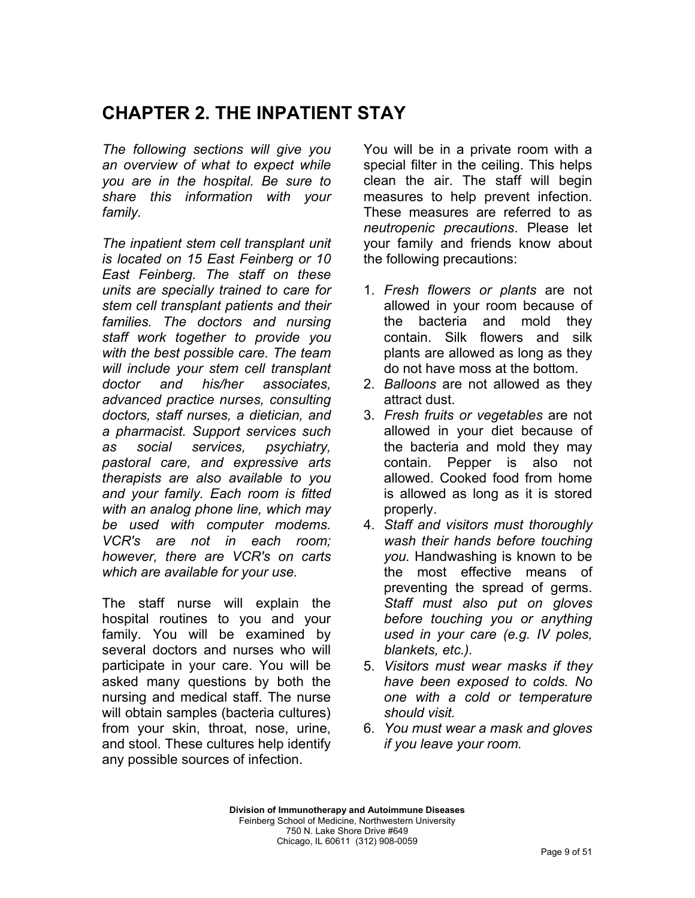# **CHAPTER 2. THE INPATIENT STAY**

*The following sections will give you an overview of what to expect while you are in the hospital. Be sure to share this information with your family.* 

*The inpatient stem cell transplant unit is located on 15 East Feinberg or 10 East Feinberg. The staff on these units are specially trained to care for stem cell transplant patients and their families. The doctors and nursing staff work together to provide you with the best possible care. The team will include your stem cell transplant doctor and his/her associates, advanced practice nurses, consulting doctors, staff nurses, a dietician, and a pharmacist. Support services such as social services, psychiatry, pastoral care, and expressive arts therapists are also available to you and your family. Each room is fitted with an analog phone line, which may be used with computer modems. VCR's are not in each room; however, there are VCR's on carts which are available for your use.* 

The staff nurse will explain the hospital routines to you and your family. You will be examined by several doctors and nurses who will participate in your care. You will be asked many questions by both the nursing and medical staff. The nurse will obtain samples (bacteria cultures) from your skin, throat, nose, urine, and stool. These cultures help identify any possible sources of infection.

You will be in a private room with a special filter in the ceiling. This helps clean the air. The staff will begin measures to help prevent infection. These measures are referred to as *neutropenic precautions*. Please let your family and friends know about the following precautions:

- 1. *Fresh flowers or plants* are not allowed in your room because of the bacteria and mold they contain. Silk flowers and silk plants are allowed as long as they do not have moss at the bottom.
- 2. *Balloons* are not allowed as they attract dust.
- 3. *Fresh fruits or vegetables* are not allowed in your diet because of the bacteria and mold they may contain. Pepper is also not allowed. Cooked food from home is allowed as long as it is stored properly.
- 4. *Staff and visitors must thoroughly wash their hands before touching you.* Handwashing is known to be the most effective means of preventing the spread of germs. *Staff must also put on gloves before touching you or anything used in your care (e.g. IV poles, blankets, etc.).*
- 5. *Visitors must wear masks if they have been exposed to colds. No one with a cold or temperature should visit.*
- 6. *You must wear a mask and gloves if you leave your room.*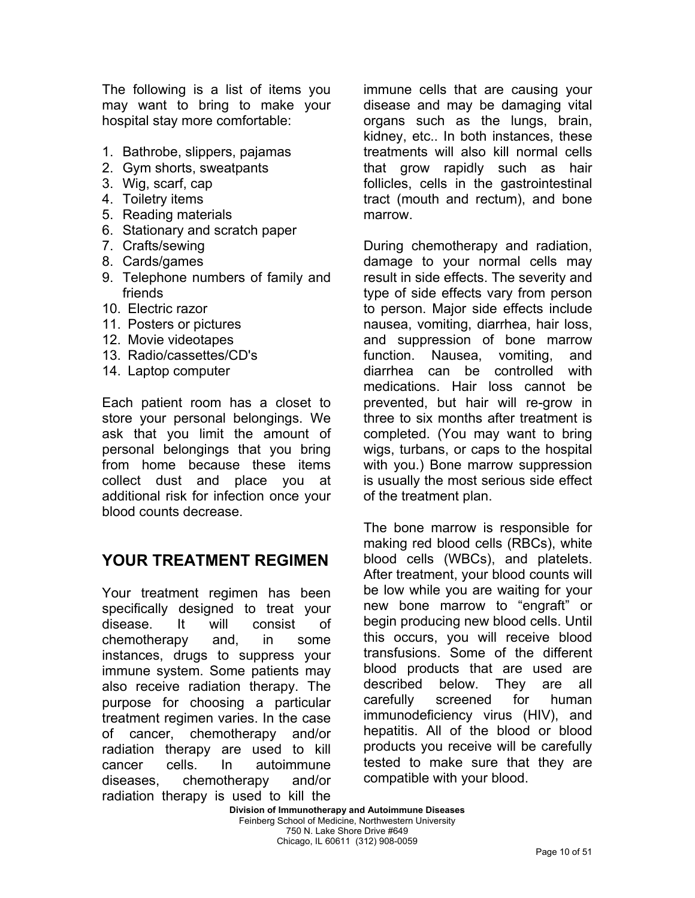The following is a list of items you may want to bring to make your hospital stay more comfortable:

- 1. Bathrobe, slippers, pajamas
- 2. Gym shorts, sweatpants
- 3. Wig, scarf, cap
- 4. Toiletry items
- 5. Reading materials
- 6. Stationary and scratch paper
- 7. Crafts/sewing
- 8. Cards/games
- 9. Telephone numbers of family and friends
- 10. Electric razor
- 11. Posters or pictures
- 12. Movie videotapes
- 13. Radio/cassettes/CD's
- 14. Laptop computer

Each patient room has a closet to store your personal belongings. We ask that you limit the amount of personal belongings that you bring from home because these items collect dust and place you at additional risk for infection once your blood counts decrease.

## **YOUR TREATMENT REGIMEN**

Your treatment regimen has been specifically designed to treat your disease. It will consist of chemotherapy and, in some instances, drugs to suppress your immune system. Some patients may also receive radiation therapy. The purpose for choosing a particular treatment regimen varies. In the case of cancer, chemotherapy and/or radiation therapy are used to kill cancer cells. In autoimmune diseases, chemotherapy and/or radiation therapy is used to kill the

immune cells that are causing your disease and may be damaging vital organs such as the lungs, brain, kidney, etc.. In both instances, these treatments will also kill normal cells that grow rapidly such as hair follicles, cells in the gastrointestinal tract (mouth and rectum), and bone marrow.

During chemotherapy and radiation, damage to your normal cells may result in side effects. The severity and type of side effects vary from person to person. Major side effects include nausea, vomiting, diarrhea, hair loss, and suppression of bone marrow function. Nausea, vomiting, and diarrhea can be controlled with medications. Hair loss cannot be prevented, but hair will re-grow in three to six months after treatment is completed. (You may want to bring wigs, turbans, or caps to the hospital with you.) Bone marrow suppression is usually the most serious side effect of the treatment plan.

The bone marrow is responsible for making red blood cells (RBCs), white blood cells (WBCs), and platelets. After treatment, your blood counts will be low while you are waiting for your new bone marrow to "engraft" or begin producing new blood cells. Until this occurs, you will receive blood transfusions. Some of the different blood products that are used are described below. They are all carefully screened for human immunodeficiency virus (HIV), and hepatitis. All of the blood or blood products you receive will be carefully tested to make sure that they are compatible with your blood.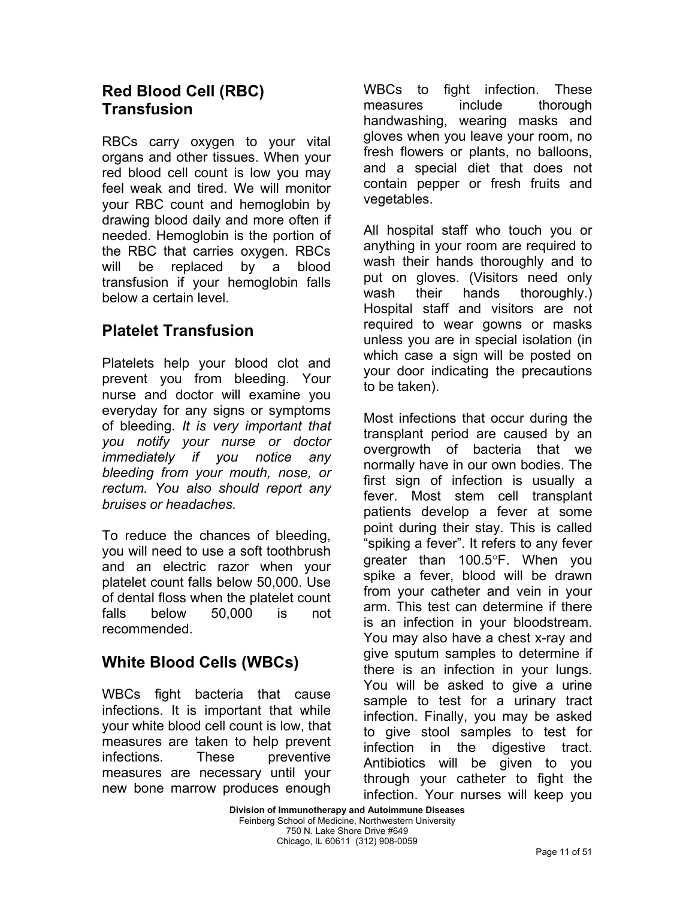## **Red Blood Cell (RBC) Transfusion**

RBCs carry oxygen to your vital organs and other tissues. When your red blood cell count is low you may feel weak and tired. We will monitor your RBC count and hemoglobin by drawing blood daily and more often if needed. Hemoglobin is the portion of the RBC that carries oxygen. RBCs will be replaced by a blood transfusion if your hemoglobin falls below a certain level.

## **Platelet Transfusion**

Platelets help your blood clot and prevent you from bleeding. Your nurse and doctor will examine you everyday for any signs or symptoms of bleeding. *It is very important that you notify your nurse or doctor immediately if you notice any bleeding from your mouth, nose, or rectum. You also should report any bruises or headaches.* 

To reduce the chances of bleeding, you will need to use a soft toothbrush and an electric razor when your platelet count falls below 50,000. Use of dental floss when the platelet count falls below 50,000 is not recommended.

## **White Blood Cells (WBCs)**

WBCs fight bacteria that cause infections. It is important that while your white blood cell count is low, that measures are taken to help prevent infections. These preventive measures are necessary until your new bone marrow produces enough WBCs to fight infection. These measures include thorough handwashing, wearing masks and gloves when you leave your room, no fresh flowers or plants, no balloons, and a special diet that does not contain pepper or fresh fruits and vegetables.

All hospital staff who touch you or anything in your room are required to wash their hands thoroughly and to put on gloves. (Visitors need only wash their hands thoroughly.) Hospital staff and visitors are not required to wear gowns or masks unless you are in special isolation (in which case a sign will be posted on your door indicating the precautions to be taken).

Most infections that occur during the transplant period are caused by an overgrowth of bacteria that we normally have in our own bodies. The first sign of infection is usually a fever. Most stem cell transplant patients develop a fever at some point during their stay. This is called "spiking a fever". It refers to any fever greater than 100.5°F. When you spike a fever, blood will be drawn from your catheter and vein in your arm. This test can determine if there is an infection in your bloodstream. You may also have a chest x-ray and give sputum samples to determine if there is an infection in your lungs. You will be asked to give a urine sample to test for a urinary tract infection. Finally, you may be asked to give stool samples to test for infection in the digestive tract. Antibiotics will be given to you through your catheter to fight the infection. Your nurses will keep you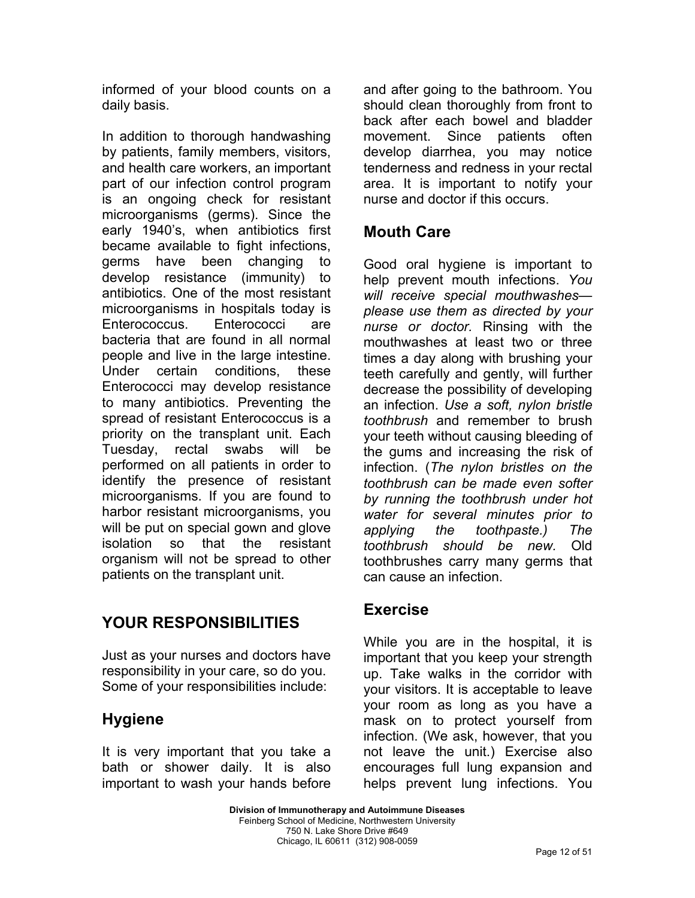informed of your blood counts on a daily basis.

In addition to thorough handwashing by patients, family members, visitors, and health care workers, an important part of our infection control program is an ongoing check for resistant microorganisms (germs). Since the early 1940's, when antibiotics first became available to fight infections, germs have been changing to develop resistance (immunity) to antibiotics. One of the most resistant microorganisms in hospitals today is Enterococcus. Enterococci are bacteria that are found in all normal people and live in the large intestine. Under certain conditions, these Enterococci may develop resistance to many antibiotics. Preventing the spread of resistant Enterococcus is a priority on the transplant unit. Each Tuesday, rectal swabs will be performed on all patients in order to identify the presence of resistant microorganisms. If you are found to harbor resistant microorganisms, you will be put on special gown and glove isolation so that the resistant organism will not be spread to other patients on the transplant unit.

## **YOUR RESPONSIBILITIES**

Just as your nurses and doctors have responsibility in your care, so do you. Some of your responsibilities include:

## **Hygiene**

It is very important that you take a bath or shower daily. It is also important to wash your hands before and after going to the bathroom. You should clean thoroughly from front to back after each bowel and bladder movement. Since patients often develop diarrhea, you may notice tenderness and redness in your rectal area. It is important to notify your nurse and doctor if this occurs.

### **Mouth Care**

Good oral hygiene is important to help prevent mouth infections. *You will receive special mouthwashes please use them as directed by your nurse or doctor.* Rinsing with the mouthwashes at least two or three times a day along with brushing your teeth carefully and gently, will further decrease the possibility of developing an infection. *Use a soft, nylon bristle toothbrush* and remember to brush your teeth without causing bleeding of the gums and increasing the risk of infection. (*The nylon bristles on the toothbrush can be made even softer by running the toothbrush under hot water for several minutes prior to applying the toothpaste.) The toothbrush should be new.* Old toothbrushes carry many germs that can cause an infection.

### **Exercise**

While you are in the hospital, it is important that you keep your strength up. Take walks in the corridor with your visitors. It is acceptable to leave your room as long as you have a mask on to protect yourself from infection. (We ask, however, that you not leave the unit.) Exercise also encourages full lung expansion and helps prevent lung infections. You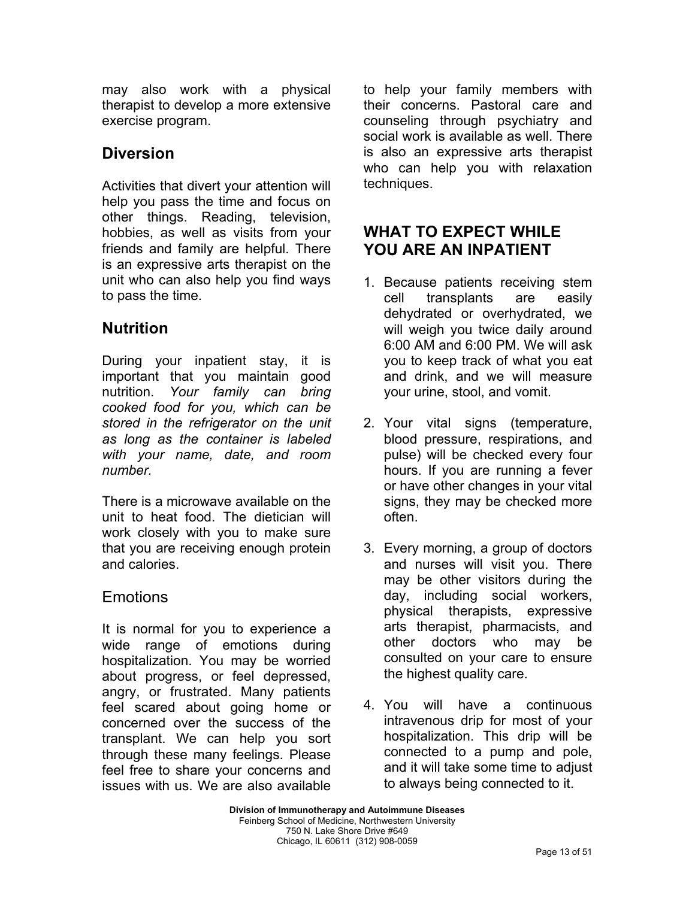may also work with a physical therapist to develop a more extensive exercise program.

## **Diversion**

Activities that divert your attention will help you pass the time and focus on other things. Reading, television, hobbies, as well as visits from your friends and family are helpful. There is an expressive arts therapist on the unit who can also help you find ways to pass the time.

## **Nutrition**

During your inpatient stay, it is important that you maintain good nutrition. *Your family can bring cooked food for you, which can be stored in the refrigerator on the unit as long as the container is labeled with your name, date, and room number.* 

There is a microwave available on the unit to heat food. The dietician will work closely with you to make sure that you are receiving enough protein and calories.

## Emotions

It is normal for you to experience a wide range of emotions during hospitalization. You may be worried about progress, or feel depressed, angry, or frustrated. Many patients feel scared about going home or concerned over the success of the transplant. We can help you sort through these many feelings. Please feel free to share your concerns and issues with us. We are also available

to help your family members with their concerns. Pastoral care and counseling through psychiatry and social work is available as well. There is also an expressive arts therapist who can help you with relaxation techniques.

## **WHAT TO EXPECT WHILE YOU ARE AN INPATIENT**

- 1. Because patients receiving stem cell transplants are easily dehydrated or overhydrated, we will weigh you twice daily around 6:00 AM and 6:00 PM. We will ask you to keep track of what you eat and drink, and we will measure your urine, stool, and vomit.
- 2. Your vital signs (temperature, blood pressure, respirations, and pulse) will be checked every four hours. If you are running a fever or have other changes in your vital signs, they may be checked more often.
- 3. Every morning, a group of doctors and nurses will visit you. There may be other visitors during the day, including social workers, physical therapists, expressive arts therapist, pharmacists, and other doctors who may be consulted on your care to ensure the highest quality care.
- 4. You will have a continuous intravenous drip for most of your hospitalization. This drip will be connected to a pump and pole, and it will take some time to adjust to always being connected to it.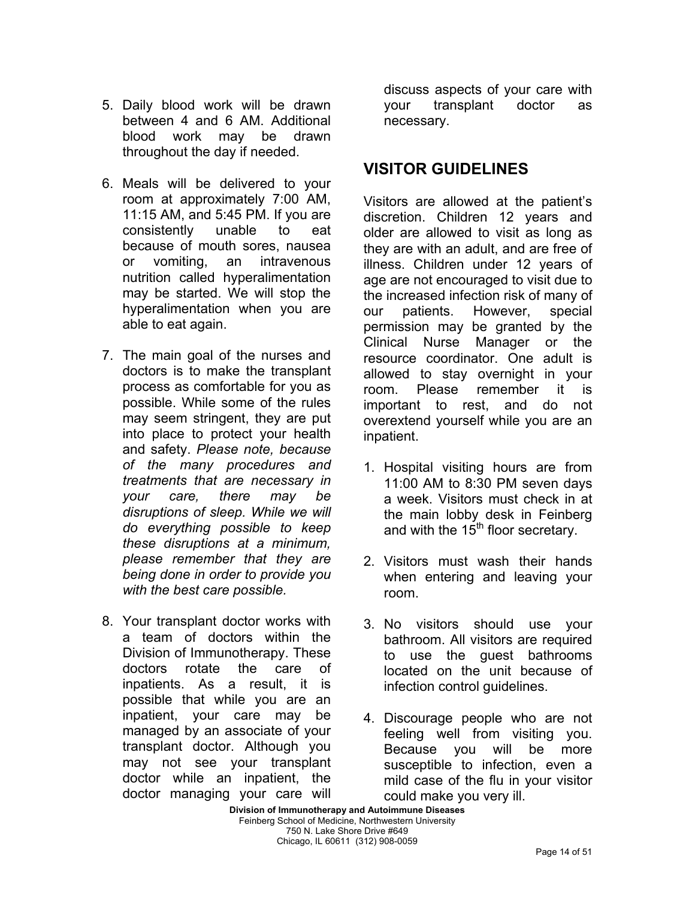- 5. Daily blood work will be drawn between 4 and 6 AM. Additional blood work may be drawn throughout the day if needed.
- 6. Meals will be delivered to your room at approximately 7:00 AM, 11:15 AM, and 5:45 PM. If you are consistently unable to eat because of mouth sores, nausea or vomiting, an intravenous nutrition called hyperalimentation may be started. We will stop the hyperalimentation when you are able to eat again.
- 7. The main goal of the nurses and doctors is to make the transplant process as comfortable for you as possible. While some of the rules may seem stringent, they are put into place to protect your health and safety. *Please note, because of the many procedures and treatments that are necessary in your care, there may be disruptions of sleep. While we will do everything possible to keep these disruptions at a minimum, please remember that they are being done in order to provide you with the best care possible.*
- 8. Your transplant doctor works with a team of doctors within the Division of Immunotherapy. These doctors rotate the care of inpatients. As a result, it is possible that while you are an inpatient, your care may be managed by an associate of your transplant doctor. Although you may not see your transplant doctor while an inpatient, the doctor managing your care will

discuss aspects of your care with your transplant doctor as necessary.

## **VISITOR GUIDELINES**

Visitors are allowed at the patient's discretion. Children 12 years and older are allowed to visit as long as they are with an adult, and are free of illness. Children under 12 years of age are not encouraged to visit due to the increased infection risk of many of our patients. However, special permission may be granted by the Clinical Nurse Manager or the resource coordinator. One adult is allowed to stay overnight in your room. Please remember it is important to rest, and do not overextend yourself while you are an inpatient.

- 1. Hospital visiting hours are from 11:00 AM to 8:30 PM seven days a week. Visitors must check in at the main lobby desk in Feinberg and with the  $15<sup>th</sup>$  floor secretary.
- 2. Visitors must wash their hands when entering and leaving your room.
- 3. No visitors should use your bathroom. All visitors are required to use the guest bathrooms located on the unit because of infection control guidelines.
- 4. Discourage people who are not feeling well from visiting you. Because you will be more susceptible to infection, even a mild case of the flu in your visitor could make you very ill.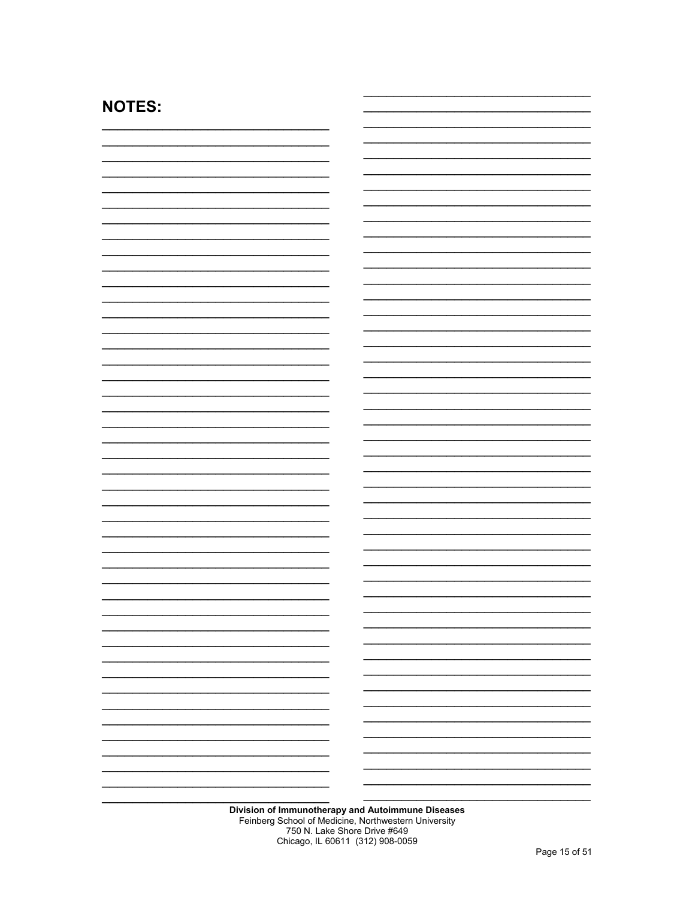| <b>NOTES:</b> |
|---------------|
|---------------|

| Division of Immunotherapy and Autoimmune Diseases |
|---------------------------------------------------|
|                                                   |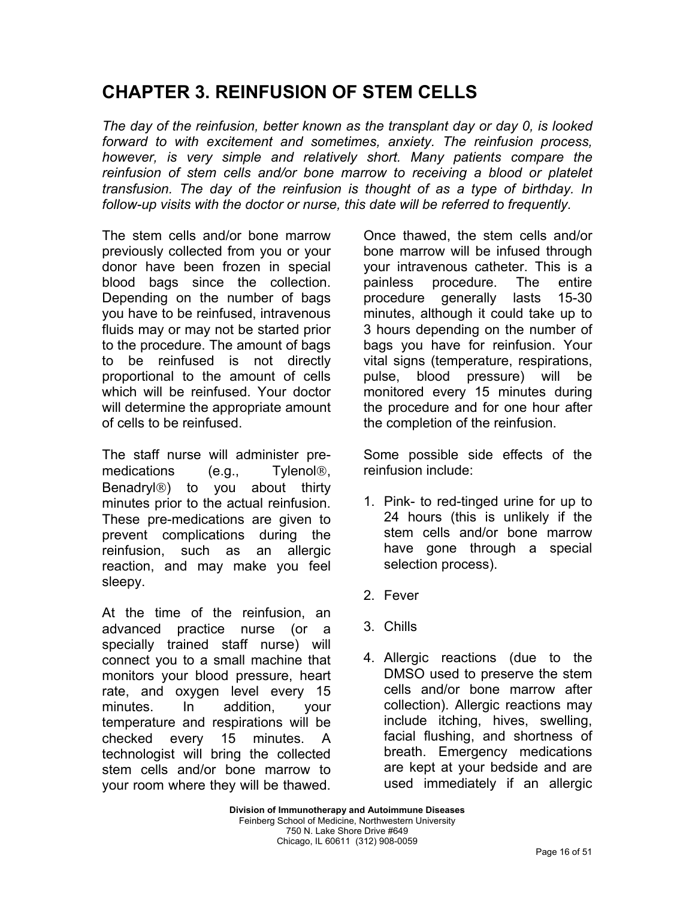# **CHAPTER 3. REINFUSION OF STEM CELLS**

*The day of the reinfusion, better known as the transplant day or day 0, is looked forward to with excitement and sometimes, anxiety. The reinfusion process, however, is very simple and relatively short. Many patients compare the reinfusion of stem cells and/or bone marrow to receiving a blood or platelet transfusion. The day of the reinfusion is thought of as a type of birthday. In follow-up visits with the doctor or nurse, this date will be referred to frequently.* 

The stem cells and/or bone marrow previously collected from you or your donor have been frozen in special blood bags since the collection. Depending on the number of bags you have to be reinfused, intravenous fluids may or may not be started prior to the procedure. The amount of bags to be reinfused is not directly proportional to the amount of cells which will be reinfused. Your doctor will determine the appropriate amount of cells to be reinfused.

The staff nurse will administer premedications (e.g., Tylenol®, Benadryl<sup>®</sup>) to you about thirty minutes prior to the actual reinfusion. These pre-medications are given to prevent complications during the reinfusion, such as an allergic reaction, and may make you feel sleepy.

At the time of the reinfusion, an advanced practice nurse (or a specially trained staff nurse) will connect you to a small machine that monitors your blood pressure, heart rate, and oxygen level every 15 minutes. In addition, your temperature and respirations will be checked every 15 minutes. A technologist will bring the collected stem cells and/or bone marrow to your room where they will be thawed. Once thawed, the stem cells and/or bone marrow will be infused through your intravenous catheter. This is a painless procedure. The entire procedure generally lasts 15-30 minutes, although it could take up to 3 hours depending on the number of bags you have for reinfusion. Your vital signs (temperature, respirations, pulse, blood pressure) will be monitored every 15 minutes during the procedure and for one hour after the completion of the reinfusion.

Some possible side effects of the reinfusion include:

- 1. Pink- to red-tinged urine for up to 24 hours (this is unlikely if the stem cells and/or bone marrow have gone through a special selection process).
- 2. Fever
- 3. Chills
- 4. Allergic reactions (due to the DMSO used to preserve the stem cells and/or bone marrow after collection). Allergic reactions may include itching, hives, swelling, facial flushing, and shortness of breath. Emergency medications are kept at your bedside and are used immediately if an allergic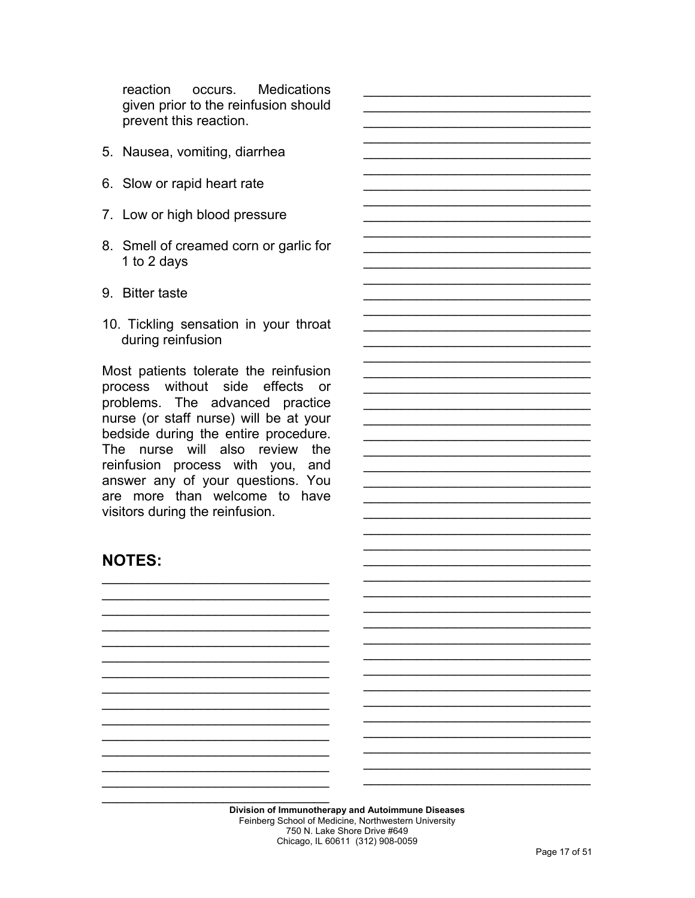reaction occurs. **Medications** given prior to the reinfusion should prevent this reaction.

- 5. Nausea, vomiting, diarrhea
- 6. Slow or rapid heart rate
- 7. Low or high blood pressure
- 8. Smell of creamed corn or garlic for 1 to 2 days
- 9. Bitter taste
- 10. Tickling sensation in your throat during reinfusion

Most patients tolerate the reinfusion process without side effects or problems. The advanced practice nurse (or staff nurse) will be at your bedside during the entire procedure. The nurse will also review the reinfusion process with you, and answer any of your questions. You are more than welcome to have visitors during the reinfusion.

## **NOTES:**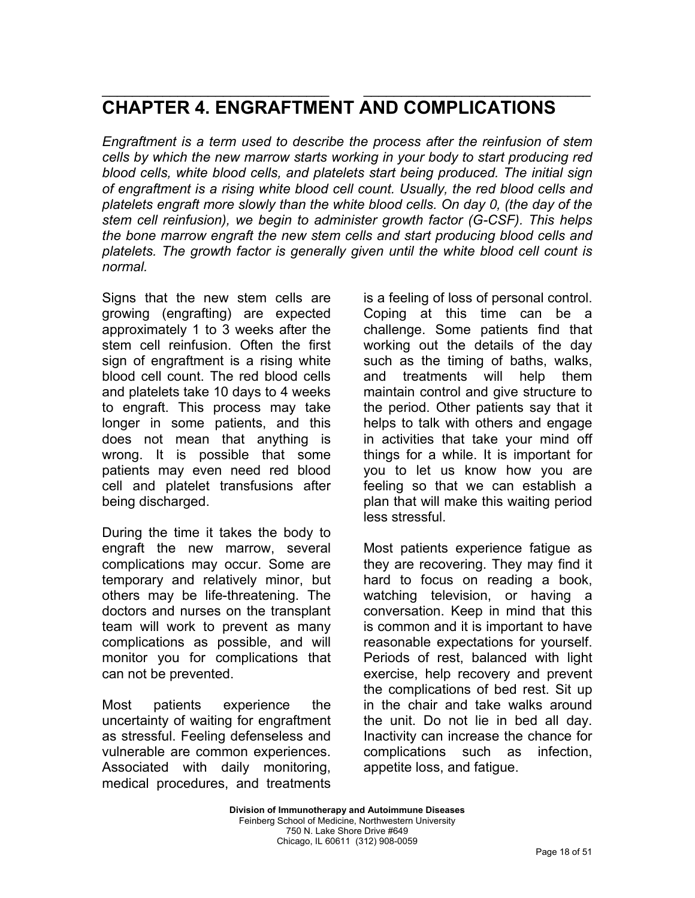### \_\_\_\_\_\_\_\_\_\_\_\_\_\_\_\_\_\_\_\_\_\_\_\_\_\_\_\_\_\_ \_\_\_\_\_\_\_\_\_\_\_\_\_\_\_\_\_\_\_\_\_\_\_\_\_\_\_\_\_\_ **CHAPTER 4. ENGRAFTMENT AND COMPLICATIONS**

*Engraftment is a term used to describe the process after the reinfusion of stem cells by which the new marrow starts working in your body to start producing red blood cells, white blood cells, and platelets start being produced. The initial sign of engraftment is a rising white blood cell count. Usually, the red blood cells and platelets engraft more slowly than the white blood cells. On day 0, (the day of the stem cell reinfusion), we begin to administer growth factor (G-CSF). This helps the bone marrow engraft the new stem cells and start producing blood cells and platelets. The growth factor is generally given until the white blood cell count is normal.* 

Signs that the new stem cells are growing (engrafting) are expected approximately 1 to 3 weeks after the stem cell reinfusion. Often the first sign of engraftment is a rising white blood cell count. The red blood cells and platelets take 10 days to 4 weeks to engraft. This process may take longer in some patients, and this does not mean that anything is wrong. It is possible that some patients may even need red blood cell and platelet transfusions after being discharged.

During the time it takes the body to engraft the new marrow, several complications may occur. Some are temporary and relatively minor, but others may be life-threatening. The doctors and nurses on the transplant team will work to prevent as many complications as possible, and will monitor you for complications that can not be prevented.

Most patients experience the uncertainty of waiting for engraftment as stressful. Feeling defenseless and vulnerable are common experiences. Associated with daily monitoring, medical procedures, and treatments is a feeling of loss of personal control. Coping at this time can be a challenge. Some patients find that working out the details of the day such as the timing of baths, walks, and treatments will help them maintain control and give structure to the period. Other patients say that it helps to talk with others and engage in activities that take your mind off things for a while. It is important for you to let us know how you are feeling so that we can establish a plan that will make this waiting period less stressful.

Most patients experience fatigue as they are recovering. They may find it hard to focus on reading a book, watching television, or having a conversation. Keep in mind that this is common and it is important to have reasonable expectations for yourself. Periods of rest, balanced with light exercise, help recovery and prevent the complications of bed rest. Sit up in the chair and take walks around the unit. Do not lie in bed all day. Inactivity can increase the chance for complications such as infection, appetite loss, and fatigue.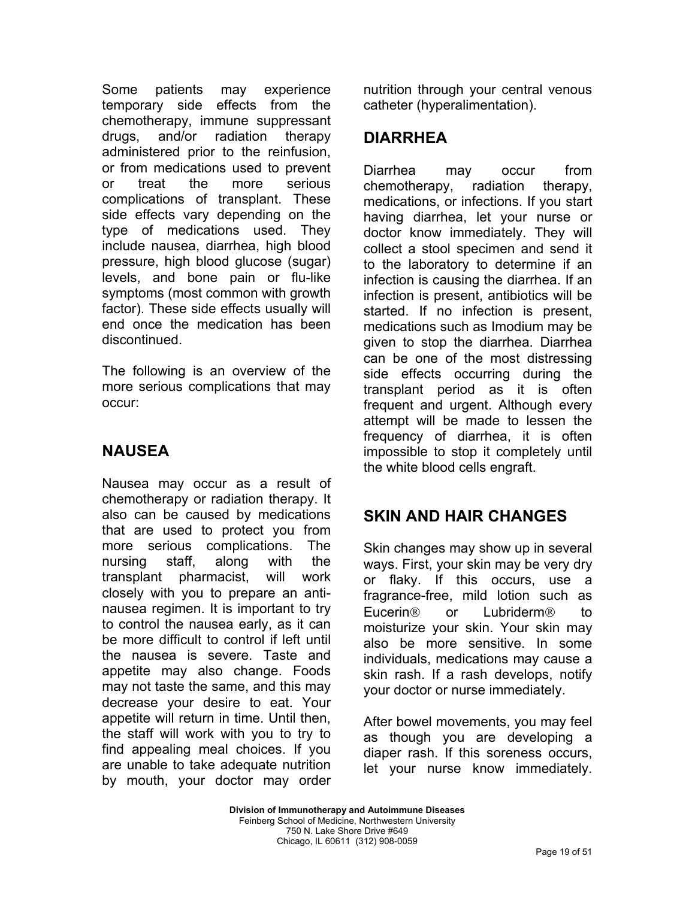Some patients may experience temporary side effects from the chemotherapy, immune suppressant drugs, and/or radiation therapy administered prior to the reinfusion, or from medications used to prevent or treat the more serious complications of transplant. These side effects vary depending on the type of medications used. They include nausea, diarrhea, high blood pressure, high blood glucose (sugar) levels, and bone pain or flu-like symptoms (most common with growth factor). These side effects usually will end once the medication has been discontinued.

The following is an overview of the more serious complications that may occur:

## **NAUSEA**

Nausea may occur as a result of chemotherapy or radiation therapy. It also can be caused by medications that are used to protect you from more serious complications. The nursing staff, along with the transplant pharmacist, will work closely with you to prepare an antinausea regimen. It is important to try to control the nausea early, as it can be more difficult to control if left until the nausea is severe. Taste and appetite may also change. Foods may not taste the same, and this may decrease your desire to eat. Your appetite will return in time. Until then, the staff will work with you to try to find appealing meal choices. If you are unable to take adequate nutrition by mouth, your doctor may order nutrition through your central venous catheter (hyperalimentation).

## **DIARRHEA**

Diarrhea may occur from chemotherapy, radiation therapy, medications, or infections. If you start having diarrhea, let your nurse or doctor know immediately. They will collect a stool specimen and send it to the laboratory to determine if an infection is causing the diarrhea. If an infection is present, antibiotics will be started. If no infection is present, medications such as Imodium may be given to stop the diarrhea. Diarrhea can be one of the most distressing side effects occurring during the transplant period as it is often frequent and urgent. Although every attempt will be made to lessen the frequency of diarrhea, it is often impossible to stop it completely until the white blood cells engraft.

## **SKIN AND HAIR CHANGES**

Skin changes may show up in several ways. First, your skin may be very dry or flaky. If this occurs, use a fragrance-free, mild lotion such as Eucerin<sup>®</sup> or Lubriderm<sup>®</sup> to moisturize your skin. Your skin may also be more sensitive. In some individuals, medications may cause a skin rash. If a rash develops, notify your doctor or nurse immediately.

After bowel movements, you may feel as though you are developing a diaper rash. If this soreness occurs, let your nurse know immediately.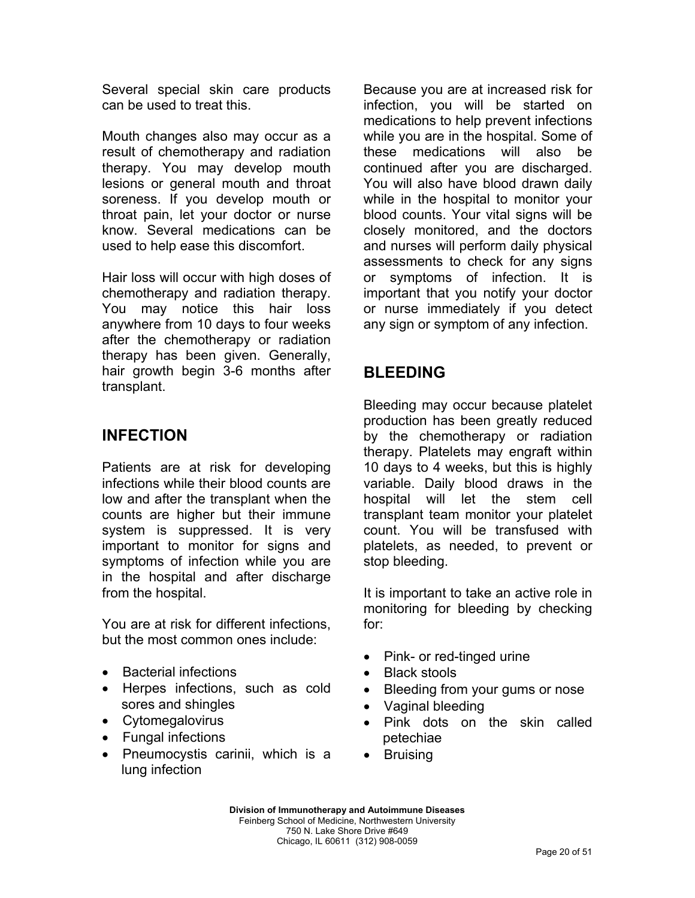Several special skin care products can be used to treat this.

Mouth changes also may occur as a result of chemotherapy and radiation therapy. You may develop mouth lesions or general mouth and throat soreness. If you develop mouth or throat pain, let your doctor or nurse know. Several medications can be used to help ease this discomfort.

Hair loss will occur with high doses of chemotherapy and radiation therapy. You may notice this hair loss anywhere from 10 days to four weeks after the chemotherapy or radiation therapy has been given. Generally, hair growth begin 3-6 months after transplant.

## **INFECTION**

Patients are at risk for developing infections while their blood counts are low and after the transplant when the counts are higher but their immune system is suppressed. It is very important to monitor for signs and symptoms of infection while you are in the hospital and after discharge from the hospital.

You are at risk for different infections, but the most common ones include:

- Bacterial infections
- Herpes infections, such as cold sores and shingles
- Cytomegalovirus
- Fungal infections
- Pneumocystis carinii, which is a lung infection

Because you are at increased risk for infection, you will be started on medications to help prevent infections while you are in the hospital. Some of these medications will also be continued after you are discharged. You will also have blood drawn daily while in the hospital to monitor your blood counts. Your vital signs will be closely monitored, and the doctors and nurses will perform daily physical assessments to check for any signs or symptoms of infection. It is important that you notify your doctor or nurse immediately if you detect any sign or symptom of any infection.

## **BLEEDING**

Bleeding may occur because platelet production has been greatly reduced by the chemotherapy or radiation therapy. Platelets may engraft within 10 days to 4 weeks, but this is highly variable. Daily blood draws in the hospital will let the stem cell transplant team monitor your platelet count. You will be transfused with platelets, as needed, to prevent or stop bleeding.

It is important to take an active role in monitoring for bleeding by checking for:

- Pink- or red-tinged urine
- Black stools
- Bleeding from your gums or nose
- Vaginal bleeding
- Pink dots on the skin called petechiae
- **Bruising**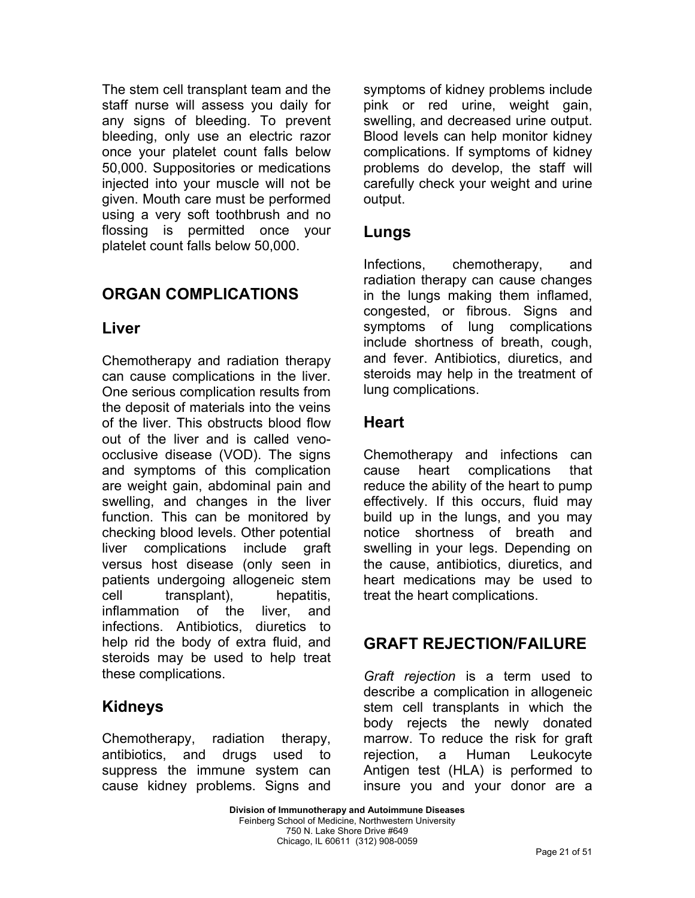The stem cell transplant team and the staff nurse will assess you daily for any signs of bleeding. To prevent bleeding, only use an electric razor once your platelet count falls below 50,000. Suppositories or medications injected into your muscle will not be given. Mouth care must be performed using a very soft toothbrush and no flossing is permitted once your platelet count falls below 50,000.

## **ORGAN COMPLICATIONS**

### **Liver**

Chemotherapy and radiation therapy can cause complications in the liver. One serious complication results from the deposit of materials into the veins of the liver. This obstructs blood flow out of the liver and is called venoocclusive disease (VOD). The signs and symptoms of this complication are weight gain, abdominal pain and swelling, and changes in the liver function. This can be monitored by checking blood levels. Other potential liver complications include graft versus host disease (only seen in patients undergoing allogeneic stem cell transplant), hepatitis, inflammation of the liver, and infections. Antibiotics, diuretics to help rid the body of extra fluid, and steroids may be used to help treat these complications.

## **Kidneys**

Chemotherapy, radiation therapy, antibiotics, and drugs used to suppress the immune system can cause kidney problems. Signs and symptoms of kidney problems include pink or red urine, weight gain, swelling, and decreased urine output. Blood levels can help monitor kidney complications. If symptoms of kidney problems do develop, the staff will carefully check your weight and urine output.

### **Lungs**

Infections, chemotherapy, and radiation therapy can cause changes in the lungs making them inflamed, congested, or fibrous. Signs and symptoms of lung complications include shortness of breath, cough, and fever. Antibiotics, diuretics, and steroids may help in the treatment of lung complications.

## **Heart**

Chemotherapy and infections can cause heart complications that reduce the ability of the heart to pump effectively. If this occurs, fluid may build up in the lungs, and you may notice shortness of breath and swelling in your legs. Depending on the cause, antibiotics, diuretics, and heart medications may be used to treat the heart complications.

## **GRAFT REJECTION/FAILURE**

*Graft rejection* is a term used to describe a complication in allogeneic stem cell transplants in which the body rejects the newly donated marrow. To reduce the risk for graft rejection, a Human Leukocyte Antigen test (HLA) is performed to insure you and your donor are a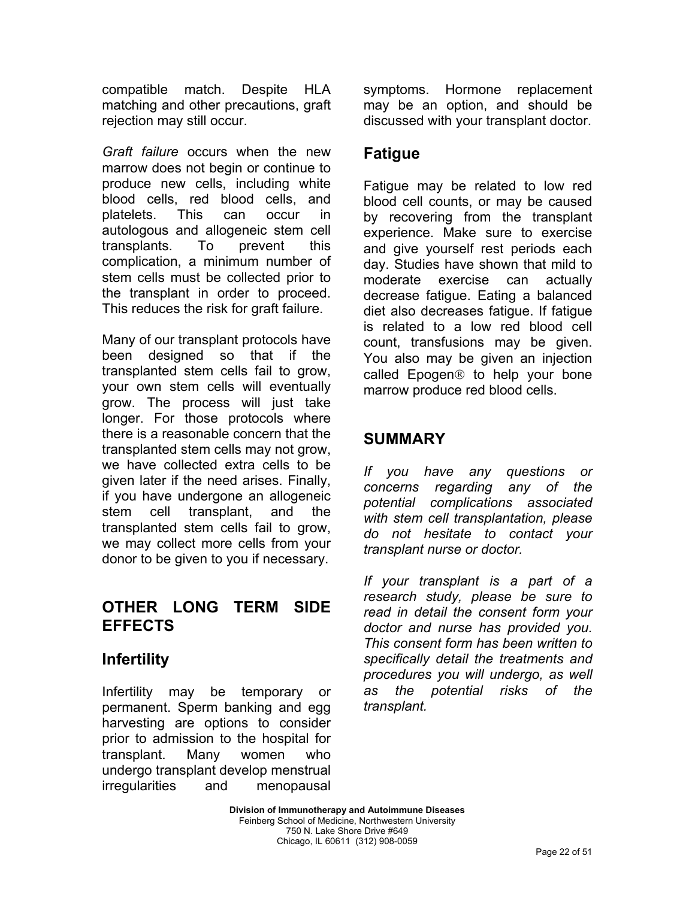compatible match. Despite HLA matching and other precautions, graft rejection may still occur.

*Graft failure* occurs when the new marrow does not begin or continue to produce new cells, including white blood cells, red blood cells, and platelets. This can occur in autologous and allogeneic stem cell transplants. To prevent this complication, a minimum number of stem cells must be collected prior to the transplant in order to proceed. This reduces the risk for graft failure.

Many of our transplant protocols have been designed so that if the transplanted stem cells fail to grow, your own stem cells will eventually grow. The process will just take longer. For those protocols where there is a reasonable concern that the transplanted stem cells may not grow, we have collected extra cells to be given later if the need arises. Finally, if you have undergone an allogeneic stem cell transplant, and the transplanted stem cells fail to grow, we may collect more cells from your donor to be given to you if necessary.

## **OTHER LONG TERM SIDE EFFECTS**

## **Infertility**

Infertility may be temporary or permanent. Sperm banking and egg harvesting are options to consider prior to admission to the hospital for transplant. Many women who undergo transplant develop menstrual irregularities and menopausal symptoms. Hormone replacement may be an option, and should be discussed with your transplant doctor.

## **Fatigue**

Fatigue may be related to low red blood cell counts, or may be caused by recovering from the transplant experience. Make sure to exercise and give yourself rest periods each day. Studies have shown that mild to moderate exercise can actually decrease fatigue. Eating a balanced diet also decreases fatigue. If fatigue is related to a low red blood cell count, transfusions may be given. You also may be given an injection called Epogen<sup>®</sup> to help your bone marrow produce red blood cells.

## **SUMMARY**

*If you have any questions or concerns regarding any of the potential complications associated with stem cell transplantation, please do not hesitate to contact your transplant nurse or doctor.* 

*If your transplant is a part of a research study, please be sure to read in detail the consent form your doctor and nurse has provided you. This consent form has been written to specifically detail the treatments and procedures you will undergo, as well as the potential risks of the transplant.*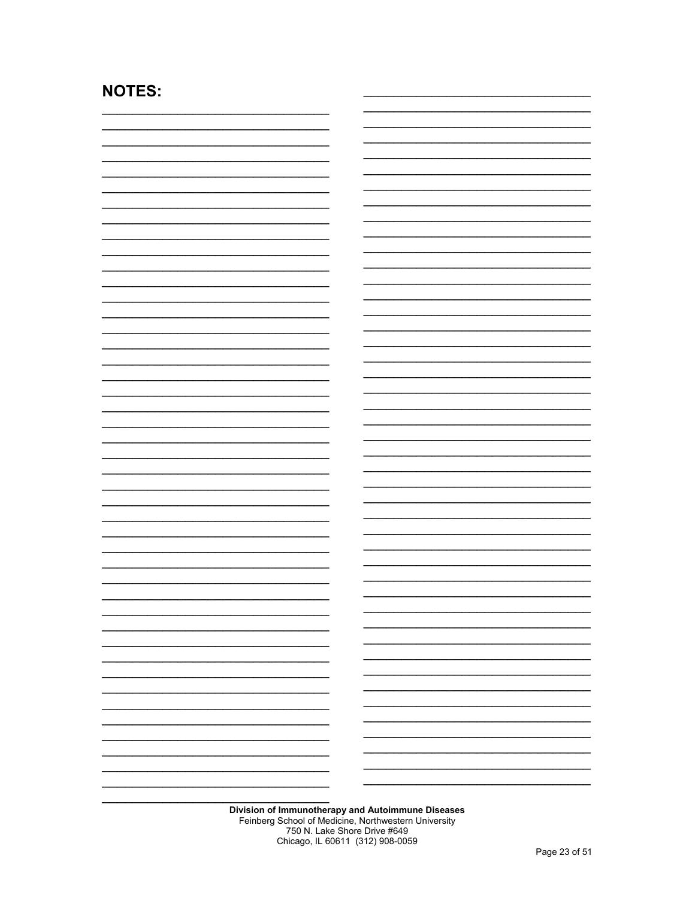## **NOTES:**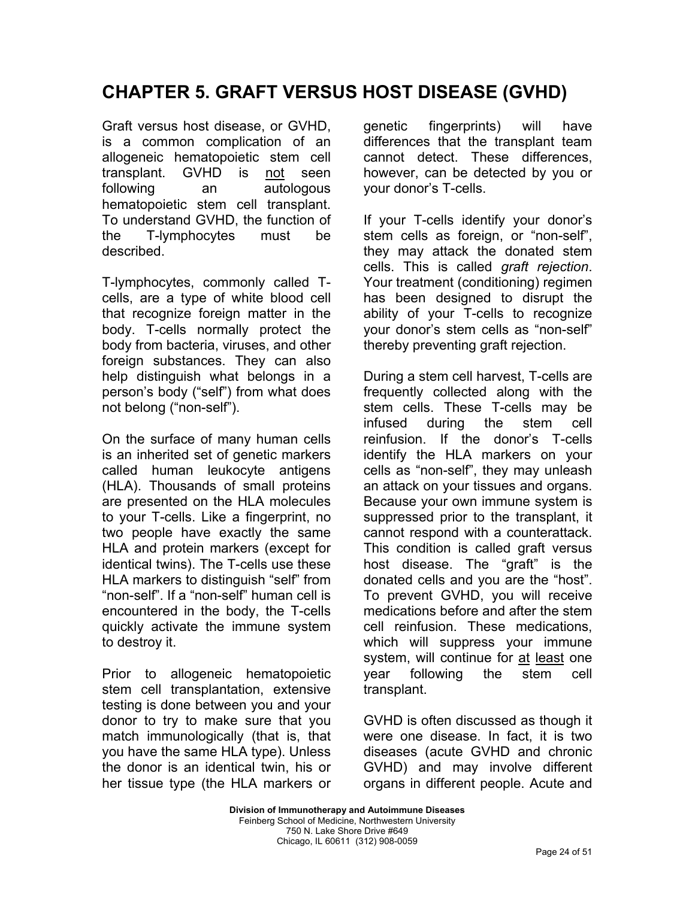# **CHAPTER 5. GRAFT VERSUS HOST DISEASE (GVHD)**

Graft versus host disease, or GVHD, is a common complication of an allogeneic hematopoietic stem cell transplant. GVHD is not seen following an autologous hematopoietic stem cell transplant. To understand GVHD, the function of the T-lymphocytes must be described.

T-lymphocytes, commonly called Tcells, are a type of white blood cell that recognize foreign matter in the body. T-cells normally protect the body from bacteria, viruses, and other foreign substances. They can also help distinguish what belongs in a person's body ("self") from what does not belong ("non-self").

On the surface of many human cells is an inherited set of genetic markers called human leukocyte antigens (HLA). Thousands of small proteins are presented on the HLA molecules to your T-cells. Like a fingerprint, no two people have exactly the same HLA and protein markers (except for identical twins). The T-cells use these HLA markers to distinguish "self" from "non-self". If a "non-self" human cell is encountered in the body, the T-cells quickly activate the immune system to destroy it.

Prior to allogeneic hematopoietic stem cell transplantation, extensive testing is done between you and your donor to try to make sure that you match immunologically (that is, that you have the same HLA type). Unless the donor is an identical twin, his or her tissue type (the HLA markers or genetic fingerprints) will have differences that the transplant team cannot detect. These differences, however, can be detected by you or your donor's T-cells.

If your T-cells identify your donor's stem cells as foreign, or "non-self", they may attack the donated stem cells. This is called *graft rejection*. Your treatment (conditioning) regimen has been designed to disrupt the ability of your T-cells to recognize your donor's stem cells as "non-self" thereby preventing graft rejection.

During a stem cell harvest, T-cells are frequently collected along with the stem cells. These T-cells may be infused during the stem cell reinfusion. If the donor's T-cells identify the HLA markers on your cells as "non-self", they may unleash an attack on your tissues and organs. Because your own immune system is suppressed prior to the transplant, it cannot respond with a counterattack. This condition is called graft versus host disease. The "graft" is the donated cells and you are the "host". To prevent GVHD, you will receive medications before and after the stem cell reinfusion. These medications, which will suppress your immune system, will continue for at least one year following the stem cell transplant.

GVHD is often discussed as though it were one disease. In fact, it is two diseases (acute GVHD and chronic GVHD) and may involve different organs in different people. Acute and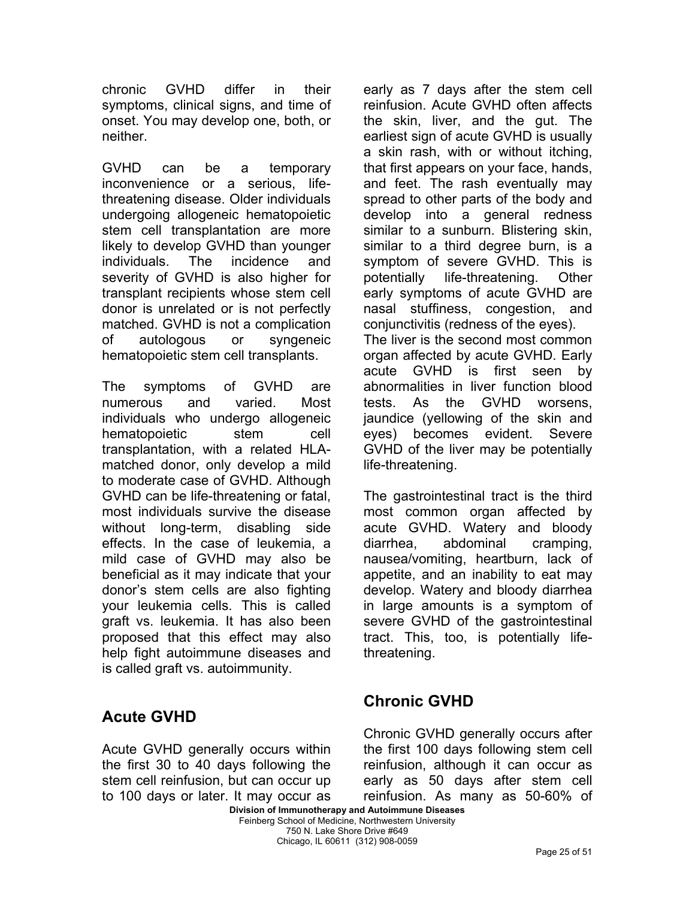chronic GVHD differ in their symptoms, clinical signs, and time of onset. You may develop one, both, or neither.

GVHD can be a temporary inconvenience or a serious, lifethreatening disease. Older individuals undergoing allogeneic hematopoietic stem cell transplantation are more likely to develop GVHD than younger individuals. The incidence and severity of GVHD is also higher for transplant recipients whose stem cell donor is unrelated or is not perfectly matched. GVHD is not a complication of autologous or syngeneic hematopoietic stem cell transplants.

The symptoms of GVHD are numerous and varied. Most individuals who undergo allogeneic hematopoietic stem cell transplantation, with a related HLAmatched donor, only develop a mild to moderate case of GVHD. Although GVHD can be life-threatening or fatal, most individuals survive the disease without long-term, disabling side effects. In the case of leukemia, a mild case of GVHD may also be beneficial as it may indicate that your donor's stem cells are also fighting your leukemia cells. This is called graft vs. leukemia. It has also been proposed that this effect may also help fight autoimmune diseases and is called graft vs. autoimmunity.

**Acute GVHD** 

Acute GVHD generally occurs within the first 30 to 40 days following the stem cell reinfusion, but can occur up to 100 days or later. It may occur as

early as 7 days after the stem cell reinfusion. Acute GVHD often affects the skin, liver, and the gut. The earliest sign of acute GVHD is usually a skin rash, with or without itching, that first appears on your face, hands, and feet. The rash eventually may spread to other parts of the body and develop into a general redness similar to a sunburn. Blistering skin, similar to a third degree burn, is a symptom of severe GVHD. This is potentially life-threatening. Other early symptoms of acute GVHD are nasal stuffiness, congestion, and conjunctivitis (redness of the eyes). The liver is the second most common organ affected by acute GVHD. Early acute GVHD is first seen by abnormalities in liver function blood tests. As the GVHD worsens, jaundice (yellowing of the skin and eyes) becomes evident. Severe GVHD of the liver may be potentially life-threatening.

The gastrointestinal tract is the third most common organ affected by acute GVHD. Watery and bloody diarrhea, abdominal cramping, nausea/vomiting, heartburn, lack of appetite, and an inability to eat may develop. Watery and bloody diarrhea in large amounts is a symptom of severe GVHD of the gastrointestinal tract. This, too, is potentially lifethreatening.

## **Chronic GVHD**

Chronic GVHD generally occurs after the first 100 days following stem cell reinfusion, although it can occur as early as 50 days after stem cell reinfusion. As many as 50-60% of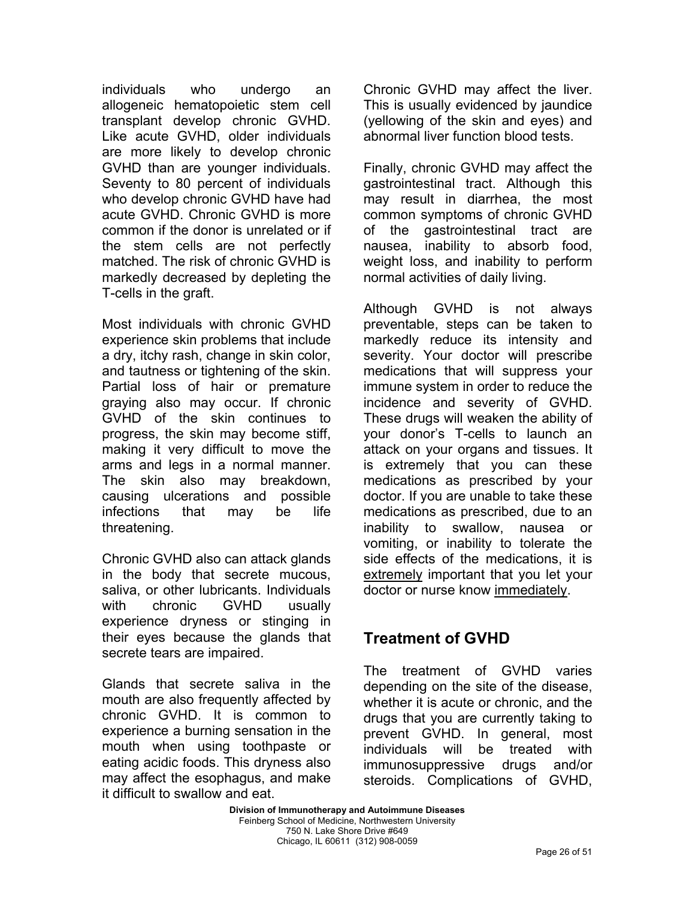individuals who undergo an allogeneic hematopoietic stem cell transplant develop chronic GVHD. Like acute GVHD, older individuals are more likely to develop chronic GVHD than are younger individuals. Seventy to 80 percent of individuals who develop chronic GVHD have had acute GVHD. Chronic GVHD is more common if the donor is unrelated or if the stem cells are not perfectly matched. The risk of chronic GVHD is markedly decreased by depleting the T-cells in the graft.

Most individuals with chronic GVHD experience skin problems that include a dry, itchy rash, change in skin color, and tautness or tightening of the skin. Partial loss of hair or premature graying also may occur. If chronic GVHD of the skin continues to progress, the skin may become stiff, making it very difficult to move the arms and legs in a normal manner. The skin also may breakdown, causing ulcerations and possible infections that may be life threatening.

Chronic GVHD also can attack glands in the body that secrete mucous, saliva, or other lubricants. Individuals with chronic GVHD usually experience dryness or stinging in their eyes because the glands that secrete tears are impaired.

Glands that secrete saliva in the mouth are also frequently affected by chronic GVHD. It is common to experience a burning sensation in the mouth when using toothpaste or eating acidic foods. This dryness also may affect the esophagus, and make it difficult to swallow and eat.

Chronic GVHD may affect the liver. This is usually evidenced by jaundice (yellowing of the skin and eyes) and abnormal liver function blood tests.

Finally, chronic GVHD may affect the gastrointestinal tract. Although this may result in diarrhea, the most common symptoms of chronic GVHD of the gastrointestinal tract are nausea, inability to absorb food, weight loss, and inability to perform normal activities of daily living.

Although GVHD is not always preventable, steps can be taken to markedly reduce its intensity and severity. Your doctor will prescribe medications that will suppress your immune system in order to reduce the incidence and severity of GVHD. These drugs will weaken the ability of your donor's T-cells to launch an attack on your organs and tissues. It is extremely that you can these medications as prescribed by your doctor. If you are unable to take these medications as prescribed, due to an inability to swallow, nausea or vomiting, or inability to tolerate the side effects of the medications, it is extremely important that you let your doctor or nurse know immediately.

## **Treatment of GVHD**

The treatment of GVHD varies depending on the site of the disease, whether it is acute or chronic, and the drugs that you are currently taking to prevent GVHD. In general, most individuals will be treated with immunosuppressive drugs and/or steroids. Complications of GVHD,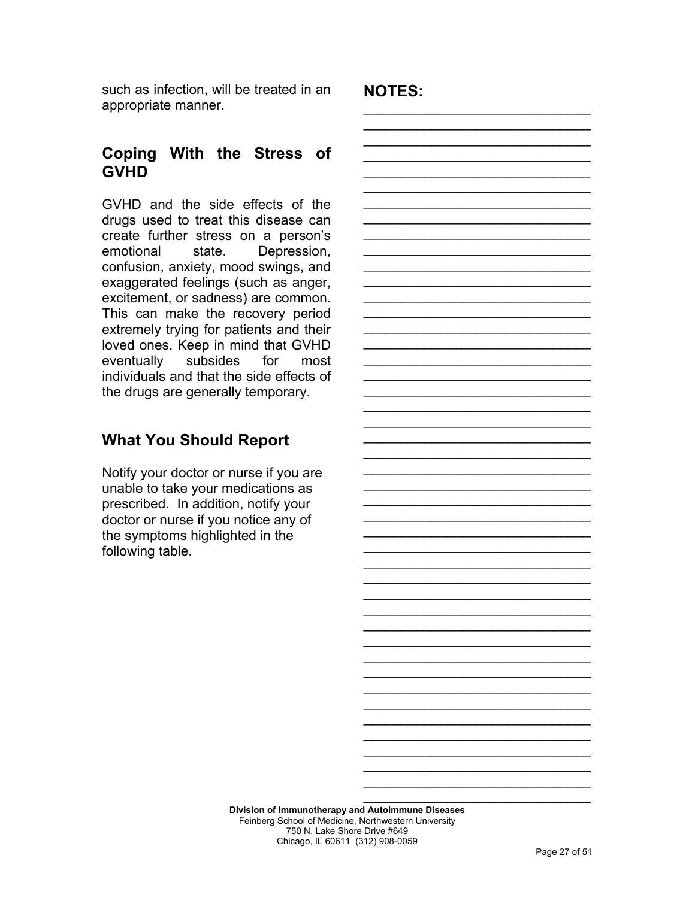such as infection, will be treated in an appropriate manner.

**NOTES:**

\_\_\_\_\_\_\_\_\_\_\_\_\_\_\_\_\_\_\_\_\_\_\_\_\_\_\_\_\_\_ \_\_\_\_\_\_\_\_\_\_\_\_\_\_\_\_\_\_\_\_\_\_\_\_\_\_\_\_\_\_ \_\_\_\_\_\_\_\_\_\_\_\_\_\_\_\_\_\_\_\_\_\_\_\_\_\_\_\_\_\_  $\mathcal{L}_\text{max}$  and  $\mathcal{L}_\text{max}$  and  $\mathcal{L}_\text{max}$  and  $\mathcal{L}_\text{max}$  $\mathcal{L}_\text{max}$  and  $\mathcal{L}_\text{max}$  and  $\mathcal{L}_\text{max}$  and  $\mathcal{L}_\text{max}$ \_\_\_\_\_\_\_\_\_\_\_\_\_\_\_\_\_\_\_\_\_\_\_\_\_\_\_\_\_\_ \_\_\_\_\_\_\_\_\_\_\_\_\_\_\_\_\_\_\_\_\_\_\_\_\_\_\_\_\_\_ \_\_\_\_\_\_\_\_\_\_\_\_\_\_\_\_\_\_\_\_\_\_\_\_\_\_\_\_\_\_  $\mathcal{L}_\text{max}$  and  $\mathcal{L}_\text{max}$  and  $\mathcal{L}_\text{max}$  and  $\mathcal{L}_\text{max}$  $\mathcal{L}_\text{max}$  and  $\mathcal{L}_\text{max}$  and  $\mathcal{L}_\text{max}$  and  $\mathcal{L}_\text{max}$ \_\_\_\_\_\_\_\_\_\_\_\_\_\_\_\_\_\_\_\_\_\_\_\_\_\_\_\_\_\_ \_\_\_\_\_\_\_\_\_\_\_\_\_\_\_\_\_\_\_\_\_\_\_\_\_\_\_\_\_\_ \_\_\_\_\_\_\_\_\_\_\_\_\_\_\_\_\_\_\_\_\_\_\_\_\_\_\_\_\_\_  $\mathcal{L}_\text{max}$  and  $\mathcal{L}_\text{max}$  and  $\mathcal{L}_\text{max}$  and  $\mathcal{L}_\text{max}$ 

\_\_\_\_\_\_\_\_\_\_\_\_\_\_\_\_\_\_\_\_\_\_\_\_\_\_\_\_\_\_ \_\_\_\_\_\_\_\_\_\_\_\_\_\_\_\_\_\_\_\_\_\_\_\_\_\_\_\_\_\_ \_\_\_\_\_\_\_\_\_\_\_\_\_\_\_\_\_\_\_\_\_\_\_\_\_\_\_\_\_\_  $\mathcal{L}_\text{max}$  and  $\mathcal{L}_\text{max}$  and  $\mathcal{L}_\text{max}$  and  $\mathcal{L}_\text{max}$  $\mathcal{L}_\text{max}$  and  $\mathcal{L}_\text{max}$  and  $\mathcal{L}_\text{max}$  and  $\mathcal{L}_\text{max}$ \_\_\_\_\_\_\_\_\_\_\_\_\_\_\_\_\_\_\_\_\_\_\_\_\_\_\_\_\_\_ \_\_\_\_\_\_\_\_\_\_\_\_\_\_\_\_\_\_\_\_\_\_\_\_\_\_\_\_\_\_ \_\_\_\_\_\_\_\_\_\_\_\_\_\_\_\_\_\_\_\_\_\_\_\_\_\_\_\_\_\_  $\mathcal{L}_\text{max}$  and  $\mathcal{L}_\text{max}$  and  $\mathcal{L}_\text{max}$  and  $\mathcal{L}_\text{max}$  $\mathcal{L}_\text{max}$  and  $\mathcal{L}_\text{max}$  and  $\mathcal{L}_\text{max}$  and  $\mathcal{L}_\text{max}$ \_\_\_\_\_\_\_\_\_\_\_\_\_\_\_\_\_\_\_\_\_\_\_\_\_\_\_\_\_\_ \_\_\_\_\_\_\_\_\_\_\_\_\_\_\_\_\_\_\_\_\_\_\_\_\_\_\_\_\_\_

 $\mathcal{L}_\text{max}$  and  $\mathcal{L}_\text{max}$  and  $\mathcal{L}_\text{max}$  and  $\mathcal{L}_\text{max}$  $\mathcal{L}_\text{max}$  and  $\mathcal{L}_\text{max}$  and  $\mathcal{L}_\text{max}$  and  $\mathcal{L}_\text{max}$ \_\_\_\_\_\_\_\_\_\_\_\_\_\_\_\_\_\_\_\_\_\_\_\_\_\_\_\_\_\_ \_\_\_\_\_\_\_\_\_\_\_\_\_\_\_\_\_\_\_\_\_\_\_\_\_\_\_\_\_\_ \_\_\_\_\_\_\_\_\_\_\_\_\_\_\_\_\_\_\_\_\_\_\_\_\_\_\_\_\_\_  $\mathcal{L}_\text{max}$  and  $\mathcal{L}_\text{max}$  and  $\mathcal{L}_\text{max}$  and  $\mathcal{L}_\text{max}$  $\mathcal{L}_\text{max}$  and  $\mathcal{L}_\text{max}$  and  $\mathcal{L}_\text{max}$  and  $\mathcal{L}_\text{max}$ \_\_\_\_\_\_\_\_\_\_\_\_\_\_\_\_\_\_\_\_\_\_\_\_\_\_\_\_\_\_ \_\_\_\_\_\_\_\_\_\_\_\_\_\_\_\_\_\_\_\_\_\_\_\_\_\_\_\_\_\_ \_\_\_\_\_\_\_\_\_\_\_\_\_\_\_\_\_\_\_\_\_\_\_\_\_\_\_\_\_\_  $\mathcal{L}_\text{max}$  and  $\mathcal{L}_\text{max}$  and  $\mathcal{L}_\text{max}$  and  $\mathcal{L}_\text{max}$  $\mathcal{L}_\text{max}$  and  $\mathcal{L}_\text{max}$  and  $\mathcal{L}_\text{max}$  and  $\mathcal{L}_\text{max}$ \_\_\_\_\_\_\_\_\_\_\_\_\_\_\_\_\_\_\_\_\_\_\_\_\_\_\_\_\_\_ \_\_\_\_\_\_\_\_\_\_\_\_\_\_\_\_\_\_\_\_\_\_\_\_\_\_\_\_\_\_  $\mathcal{L}_\text{max}$  and  $\mathcal{L}_\text{max}$  and  $\mathcal{L}_\text{max}$  and  $\mathcal{L}_\text{max}$  $\mathcal{L}_\text{max}$  and  $\mathcal{L}_\text{max}$  and  $\mathcal{L}_\text{max}$  and  $\mathcal{L}_\text{max}$  $\mathcal{L}_\text{max}$  and  $\mathcal{L}_\text{max}$  and  $\mathcal{L}_\text{max}$  and  $\mathcal{L}_\text{max}$ 

## **Coping With the Stress of GVHD**

GVHD and the side effects of the drugs used to treat this disease can create further stress on a person's emotional state. Depression, confusion, anxiety, mood swings, and exaggerated feelings (such as anger, excitement, or sadness) are common. This can make the recovery period extremely trying for patients and their loved ones. Keep in mind that GVHD eventually subsides for most individuals and that the side effects of the drugs are generally temporary.

## **What You Should Report**

Notify your doctor or nurse if you are unable to take your medications as prescribed. In addition, notify your doctor or nurse if you notice any of the symptoms highlighted in the following table.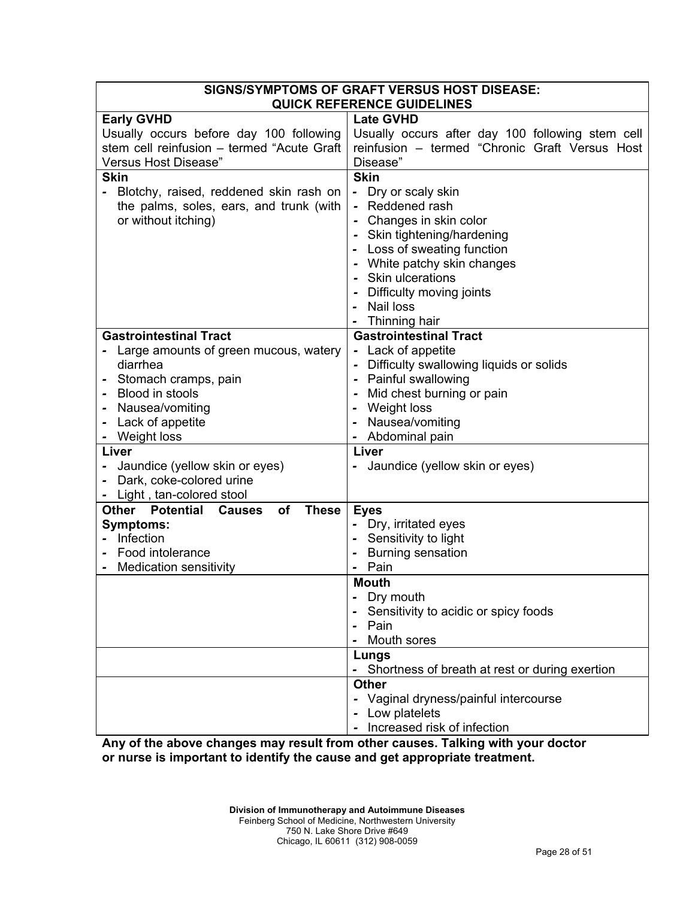| SIGNS/SYMPTOMS OF GRAFT VERSUS HOST DISEASE:                                                  |                                                  |  |
|-----------------------------------------------------------------------------------------------|--------------------------------------------------|--|
|                                                                                               | <b>QUICK REFERENCE GUIDELINES</b>                |  |
| <b>Early GVHD</b>                                                                             | <b>Late GVHD</b>                                 |  |
| Usually occurs before day 100 following                                                       | Usually occurs after day 100 following stem cell |  |
| reinfusion - termed "Chronic Graft Versus Host<br>stem cell reinfusion - termed "Acute Graft" |                                                  |  |
| Versus Host Disease"                                                                          | Disease"                                         |  |
| <b>Skin</b>                                                                                   | <b>Skin</b>                                      |  |
| Blotchy, raised, reddened skin rash on                                                        | Dry or scaly skin<br>-<br>Reddened rash          |  |
| the palms, soles, ears, and trunk (with                                                       | Changes in skin color                            |  |
| or without itching)                                                                           | Skin tightening/hardening                        |  |
|                                                                                               | Loss of sweating function                        |  |
|                                                                                               | White patchy skin changes                        |  |
|                                                                                               | Skin ulcerations                                 |  |
|                                                                                               | Difficulty moving joints                         |  |
|                                                                                               | <b>Nail loss</b>                                 |  |
|                                                                                               | Thinning hair                                    |  |
| <b>Gastrointestinal Tract</b>                                                                 | <b>Gastrointestinal Tract</b>                    |  |
| Large amounts of green mucous, watery                                                         | - Lack of appetite                               |  |
| diarrhea                                                                                      | Difficulty swallowing liquids or solids          |  |
| Painful swallowing<br>Stomach cramps, pain                                                    |                                                  |  |
| Blood in stools                                                                               | Mid chest burning or pain                        |  |
| Nausea/vomiting                                                                               | Weight loss                                      |  |
| Lack of appetite                                                                              | Nausea/vomiting                                  |  |
| Weight loss<br>Abdominal pain                                                                 |                                                  |  |
| Liver<br>Liver                                                                                |                                                  |  |
| Jaundice (yellow skin or eyes)<br>Jaundice (yellow skin or eyes)                              |                                                  |  |
| Dark, coke-colored urine                                                                      |                                                  |  |
| Light, tan-colored stool                                                                      |                                                  |  |
| <b>Potential</b><br>Other<br><b>Causes</b><br><b>of</b><br><b>These</b>                       | <b>Eyes</b>                                      |  |
| <b>Symptoms:</b>                                                                              | Dry, irritated eyes                              |  |
| Infection                                                                                     | Sensitivity to light                             |  |
| Food intolerance                                                                              | <b>Burning sensation</b>                         |  |
| <b>Medication sensitivity</b>                                                                 | Pain                                             |  |
|                                                                                               | <b>Mouth</b>                                     |  |
|                                                                                               | Dry mouth                                        |  |
| Sensitivity to acidic or spicy foods                                                          |                                                  |  |
|                                                                                               | Pain                                             |  |
| Mouth sores                                                                                   |                                                  |  |
| Lungs                                                                                         |                                                  |  |
| - Shortness of breath at rest or during exertion                                              |                                                  |  |
|                                                                                               | <b>Other</b>                                     |  |
|                                                                                               | Vaginal dryness/painful intercourse              |  |
|                                                                                               | Low platelets<br>Increased risk of infection     |  |
|                                                                                               |                                                  |  |

**Any of the above changes may result from other causes. Talking with your doctor or nurse is important to identify the cause and get appropriate treatment.**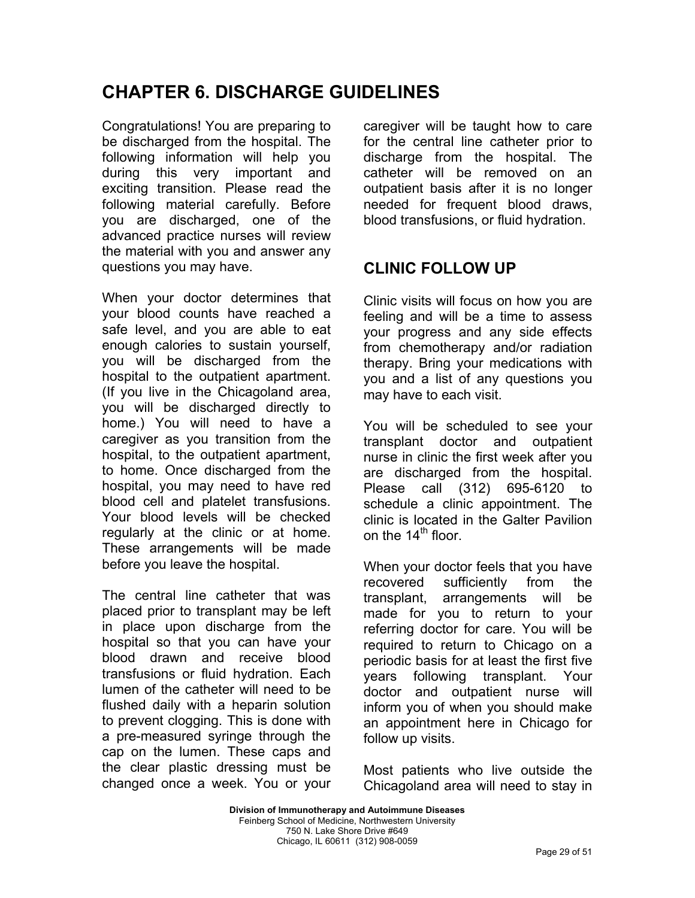# **CHAPTER 6. DISCHARGE GUIDELINES**

Congratulations! You are preparing to be discharged from the hospital. The following information will help you during this very important and exciting transition. Please read the following material carefully. Before you are discharged, one of the advanced practice nurses will review the material with you and answer any questions you may have.

When your doctor determines that your blood counts have reached a safe level, and you are able to eat enough calories to sustain yourself, you will be discharged from the hospital to the outpatient apartment. (If you live in the Chicagoland area, you will be discharged directly to home.) You will need to have a caregiver as you transition from the hospital, to the outpatient apartment, to home. Once discharged from the hospital, you may need to have red blood cell and platelet transfusions. Your blood levels will be checked regularly at the clinic or at home. These arrangements will be made before you leave the hospital.

The central line catheter that was placed prior to transplant may be left in place upon discharge from the hospital so that you can have your blood drawn and receive blood transfusions or fluid hydration. Each lumen of the catheter will need to be flushed daily with a heparin solution to prevent clogging. This is done with a pre-measured syringe through the cap on the lumen. These caps and the clear plastic dressing must be changed once a week. You or your caregiver will be taught how to care for the central line catheter prior to discharge from the hospital. The catheter will be removed on an outpatient basis after it is no longer needed for frequent blood draws, blood transfusions, or fluid hydration.

## **CLINIC FOLLOW UP**

Clinic visits will focus on how you are feeling and will be a time to assess your progress and any side effects from chemotherapy and/or radiation therapy. Bring your medications with you and a list of any questions you may have to each visit.

You will be scheduled to see your transplant doctor and outpatient nurse in clinic the first week after you are discharged from the hospital. Please call (312) 695-6120 to schedule a clinic appointment. The clinic is located in the Galter Pavilion on the  $14<sup>th</sup>$  floor.

When your doctor feels that you have recovered sufficiently from the transplant, arrangements will be made for you to return to your referring doctor for care. You will be required to return to Chicago on a periodic basis for at least the first five years following transplant. Your doctor and outpatient nurse will inform you of when you should make an appointment here in Chicago for follow up visits.

Most patients who live outside the Chicagoland area will need to stay in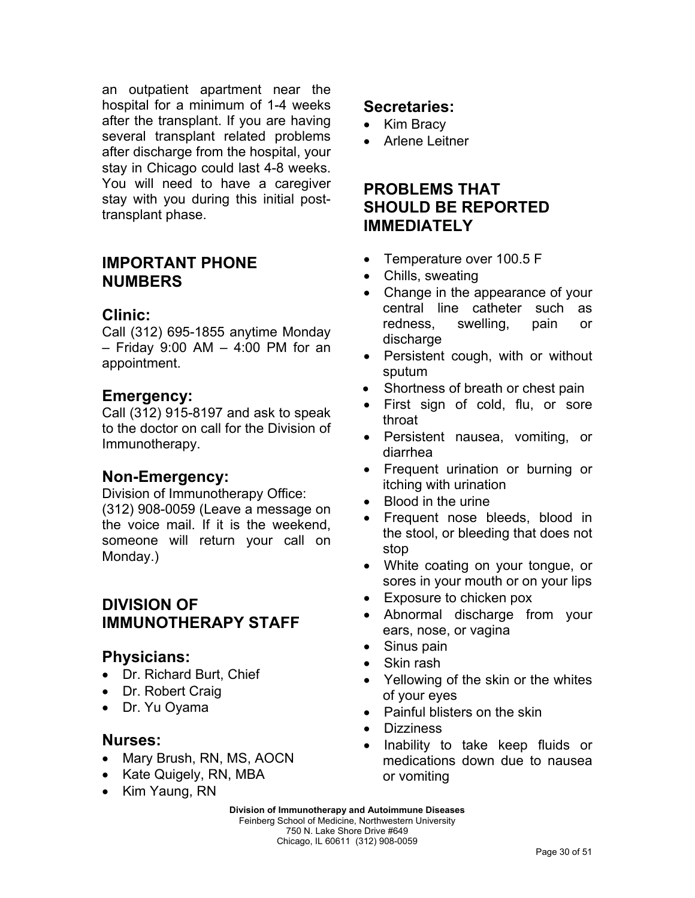an outpatient apartment near the hospital for a minimum of 1-4 weeks after the transplant. If you are having several transplant related problems after discharge from the hospital, your stay in Chicago could last 4-8 weeks. You will need to have a caregiver stay with you during this initial posttransplant phase.

#### **IMPORTANT PHONE NUMBERS**

#### **Clinic:**

Call (312) 695-1855 anytime Monday – Friday 9:00 AM – 4:00 PM for an appointment.

#### **Emergency:**

Call (312) 915-8197 and ask to speak to the doctor on call for the Division of Immunotherapy.

### **Non-Emergency:**

Division of Immunotherapy Office: (312) 908-0059 (Leave a message on the voice mail. If it is the weekend, someone will return your call on Monday.)

## **DIVISION OF IMMUNOTHERAPY STAFF**

#### **Physicians:**

- Dr. Richard Burt, Chief
- Dr. Robert Craig
- Dr. Yu Oyama

#### **Nurses:**

- Mary Brush, RN, MS, AOCN
- Kate Quigely, RN, MBA
- Kim Yaung, RN

### **Secretaries:**

- Kim Bracy
- Arlene Leitner

## **PROBLEMS THAT SHOULD BE REPORTED IMMEDIATELY**

- Temperature over 100.5 F
- Chills, sweating
- Change in the appearance of your central line catheter such as redness, swelling, pain or discharge
- Persistent cough, with or without sputum
- Shortness of breath or chest pain
- First sign of cold, flu, or sore throat
- Persistent nausea, vomiting, or diarrhea
- Frequent urination or burning or itching with urination
- Blood in the urine
- Frequent nose bleeds, blood in the stool, or bleeding that does not stop
- White coating on your tongue, or sores in your mouth or on your lips
- Exposure to chicken pox
- Abnormal discharge from your ears, nose, or vagina
- Sinus pain
- Skin rash
- Yellowing of the skin or the whites of your eyes
- Painful blisters on the skin
- Dizziness
- Inability to take keep fluids or medications down due to nausea or vomiting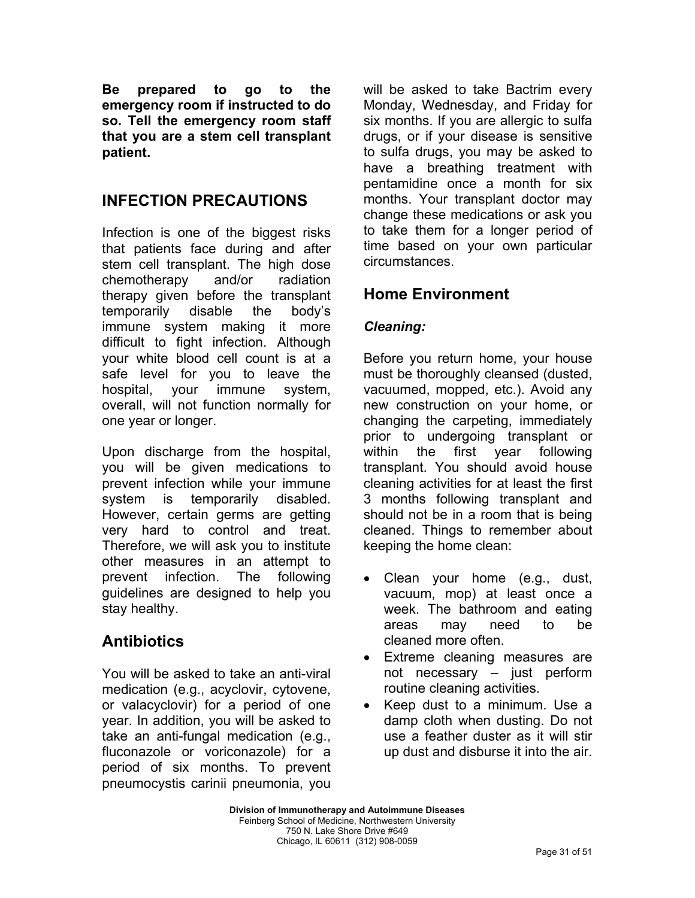**Be prepared to go to the emergency room if instructed to do so. Tell the emergency room staff that you are a stem cell transplant patient.** 

## **INFECTION PRECAUTIONS**

Infection is one of the biggest risks that patients face during and after stem cell transplant. The high dose chemotherapy and/or radiation therapy given before the transplant temporarily disable the body's immune system making it more difficult to fight infection. Although your white blood cell count is at a safe level for you to leave the hospital, your immune system, overall, will not function normally for one year or longer.

Upon discharge from the hospital, you will be given medications to prevent infection while your immune system is temporarily disabled. However, certain germs are getting very hard to control and treat. Therefore, we will ask you to institute other measures in an attempt to prevent infection. The following guidelines are designed to help you stay healthy.

## **Antibiotics**

You will be asked to take an anti-viral medication (e.g., acyclovir, cytovene, or valacyclovir) for a period of one year. In addition, you will be asked to take an anti-fungal medication (e.g., fluconazole or voriconazole) for a period of six months. To prevent pneumocystis carinii pneumonia, you will be asked to take Bactrim every Monday, Wednesday, and Friday for six months. If you are allergic to sulfa drugs, or if your disease is sensitive to sulfa drugs, you may be asked to have a breathing treatment with pentamidine once a month for six months. Your transplant doctor may change these medications or ask you to take them for a longer period of time based on your own particular circumstances.

## **Home Environment**

#### *Cleaning:*

Before you return home, your house must be thoroughly cleansed (dusted, vacuumed, mopped, etc.). Avoid any new construction on your home, or changing the carpeting, immediately prior to undergoing transplant or within the first year following transplant. You should avoid house cleaning activities for at least the first 3 months following transplant and should not be in a room that is being cleaned. Things to remember about keeping the home clean:

- Clean your home (e.g., dust, vacuum, mop) at least once a week. The bathroom and eating areas may need to be cleaned more often.
- Extreme cleaning measures are not necessary – just perform routine cleaning activities.
- Keep dust to a minimum. Use a damp cloth when dusting. Do not use a feather duster as it will stir up dust and disburse it into the air.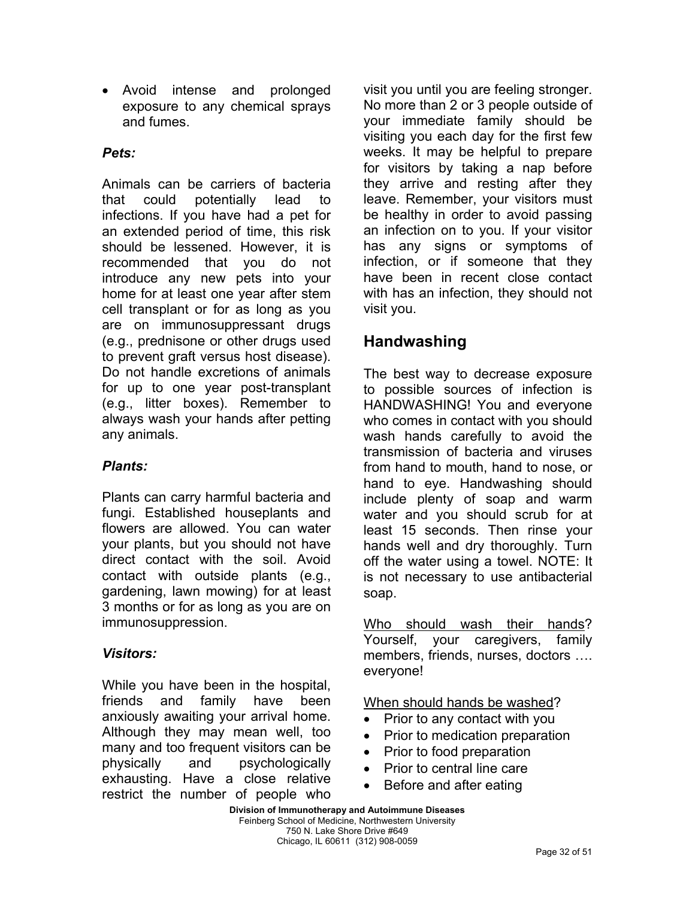• Avoid intense and prolonged exposure to any chemical sprays and fumes.

#### *Pets:*

Animals can be carriers of bacteria that could potentially lead to infections. If you have had a pet for an extended period of time, this risk should be lessened. However, it is recommended that you do not introduce any new pets into your home for at least one year after stem cell transplant or for as long as you are on immunosuppressant drugs (e.g., prednisone or other drugs used to prevent graft versus host disease). Do not handle excretions of animals for up to one year post-transplant (e.g., litter boxes). Remember to always wash your hands after petting any animals.

#### *Plants:*

Plants can carry harmful bacteria and fungi. Established houseplants and flowers are allowed. You can water your plants, but you should not have direct contact with the soil. Avoid contact with outside plants (e.g., gardening, lawn mowing) for at least 3 months or for as long as you are on immunosuppression.

### *Visitors:*

While you have been in the hospital, friends and family have been anxiously awaiting your arrival home. Although they may mean well, too many and too frequent visitors can be physically and psychologically exhausting. Have a close relative restrict the number of people who

visit you until you are feeling stronger. No more than 2 or 3 people outside of your immediate family should be visiting you each day for the first few weeks. It may be helpful to prepare for visitors by taking a nap before they arrive and resting after they leave. Remember, your visitors must be healthy in order to avoid passing an infection on to you. If your visitor has any signs or symptoms of infection, or if someone that they have been in recent close contact with has an infection, they should not visit you.

## **Handwashing**

The best way to decrease exposure to possible sources of infection is HANDWASHING! You and everyone who comes in contact with you should wash hands carefully to avoid the transmission of bacteria and viruses from hand to mouth, hand to nose, or hand to eye. Handwashing should include plenty of soap and warm water and you should scrub for at least 15 seconds. Then rinse your hands well and dry thoroughly. Turn off the water using a towel. NOTE: It is not necessary to use antibacterial soap.

Who should wash their hands? Yourself, your caregivers, family members, friends, nurses, doctors …. everyone!

When should hands be washed?

- Prior to any contact with you
- Prior to medication preparation
- Prior to food preparation
- Prior to central line care
- Before and after eating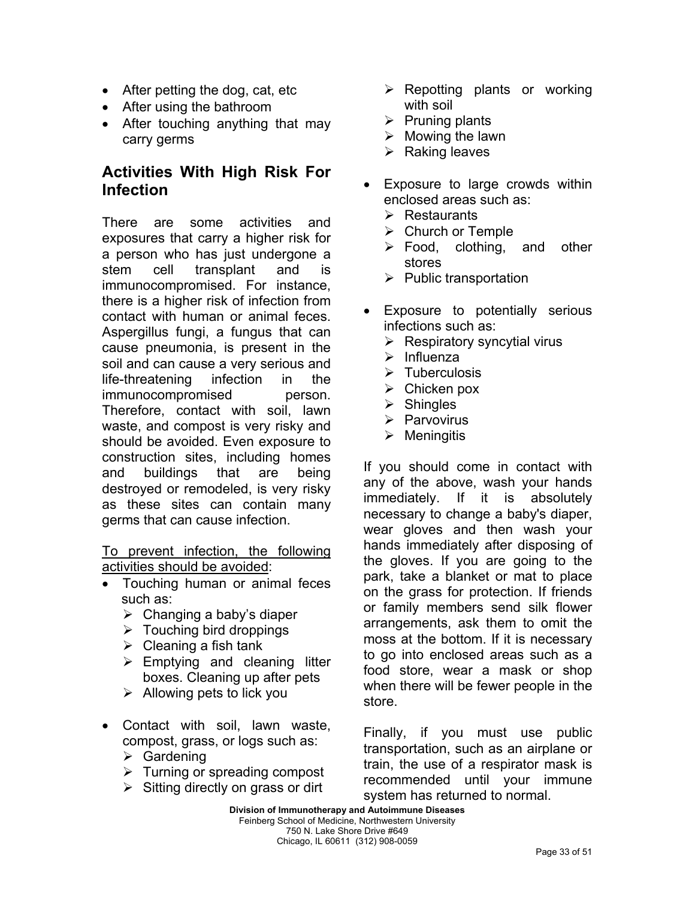- After petting the dog, cat, etc
- After using the bathroom
- After touching anything that may carry germs

## **Activities With High Risk For Infection**

There are some activities and exposures that carry a higher risk for a person who has just undergone a stem cell transplant and is immunocompromised. For instance, there is a higher risk of infection from contact with human or animal feces. Aspergillus fungi, a fungus that can cause pneumonia, is present in the soil and can cause a very serious and life-threatening infection in the immunocompromised person. Therefore, contact with soil, lawn waste, and compost is very risky and should be avoided. Even exposure to construction sites, including homes and buildings that are being destroyed or remodeled, is very risky as these sites can contain many germs that can cause infection.

To prevent infection, the following activities should be avoided:

- Touching human or animal feces such as:
	- $\triangleright$  Changing a baby's diaper
	- $\triangleright$  Touching bird droppings
	- $\triangleright$  Cleaning a fish tank
	- $\triangleright$  Emptying and cleaning litter boxes. Cleaning up after pets
	- $\triangleright$  Allowing pets to lick you
- Contact with soil, lawn waste, compost, grass, or logs such as:
	- $\triangleright$  Gardening
	- $\triangleright$  Turning or spreading compost
	- $\triangleright$  Sitting directly on grass or dirt
- $\triangleright$  Repotting plants or working with soil
- $\triangleright$  Pruning plants
- $\triangleright$  Mowing the lawn
- $\triangleright$  Raking leaves
- Exposure to large crowds within enclosed areas such as:
	- $\triangleright$  Restaurants
	- $\triangleright$  Church or Temple
	- $\triangleright$  Food, clothing, and other stores
	- $\triangleright$  Public transportation
- Exposure to potentially serious infections such as:
	- $\triangleright$  Respiratory syncytial virus
	- $\triangleright$  Influenza
	- $\triangleright$  Tuberculosis
	- $\triangleright$  Chicken pox
	- $\triangleright$  Shingles
	- $\triangleright$  Parvovirus
	- $\triangleright$  Meningitis

If you should come in contact with any of the above, wash your hands immediately. If it is absolutely necessary to change a baby's diaper, wear gloves and then wash your hands immediately after disposing of the gloves. If you are going to the park, take a blanket or mat to place on the grass for protection. If friends or family members send silk flower arrangements, ask them to omit the moss at the bottom. If it is necessary to go into enclosed areas such as a food store, wear a mask or shop when there will be fewer people in the store.

Finally, if you must use public transportation, such as an airplane or train, the use of a respirator mask is recommended until your immune system has returned to normal.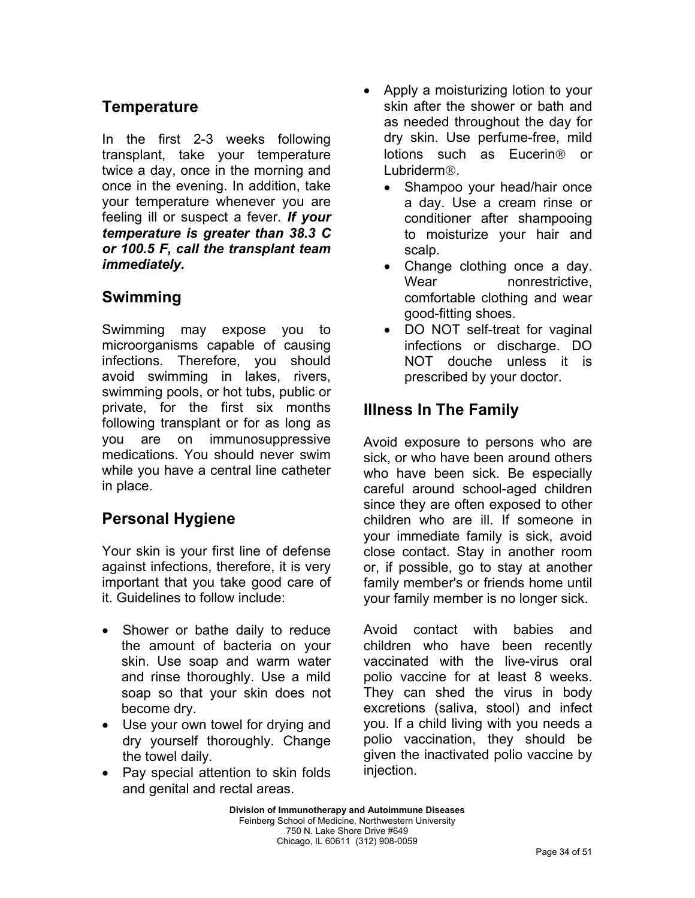## **Temperature**

In the first 2-3 weeks following transplant, take your temperature twice a day, once in the morning and once in the evening. In addition, take your temperature whenever you are feeling ill or suspect a fever. *If your temperature is greater than 38.3 C or 100.5 F, call the transplant team immediately.* 

## **Swimming**

Swimming may expose you to microorganisms capable of causing infections. Therefore, you should avoid swimming in lakes, rivers, swimming pools, or hot tubs, public or private, for the first six months following transplant or for as long as you are on immunosuppressive medications. You should never swim while you have a central line catheter in place.

## **Personal Hygiene**

Your skin is your first line of defense against infections, therefore, it is very important that you take good care of it. Guidelines to follow include:

- Shower or bathe daily to reduce the amount of bacteria on your skin. Use soap and warm water and rinse thoroughly. Use a mild soap so that your skin does not become dry.
- Use your own towel for drying and dry yourself thoroughly. Change the towel daily.
- Pay special attention to skin folds and genital and rectal areas.
- Apply a moisturizing lotion to your skin after the shower or bath and as needed throughout the day for dry skin. Use perfume-free, mild lotions such as Eucerin<sup>®</sup> or Lubriderm<sup>®</sup>
	- Shampoo your head/hair once a day. Use a cream rinse or conditioner after shampooing to moisturize your hair and scalp.
	- Change clothing once a day. Wear nonrestrictive. comfortable clothing and wear good-fitting shoes.
	- DO NOT self-treat for vaginal infections or discharge. DO NOT douche unless it is prescribed by your doctor.

## **Illness In The Family**

Avoid exposure to persons who are sick, or who have been around others who have been sick. Be especially careful around school-aged children since they are often exposed to other children who are ill. If someone in your immediate family is sick, avoid close contact. Stay in another room or, if possible, go to stay at another family member's or friends home until your family member is no longer sick.

Avoid contact with babies and children who have been recently vaccinated with the live-virus oral polio vaccine for at least 8 weeks. They can shed the virus in body excretions (saliva, stool) and infect you. If a child living with you needs a polio vaccination, they should be given the inactivated polio vaccine by injection.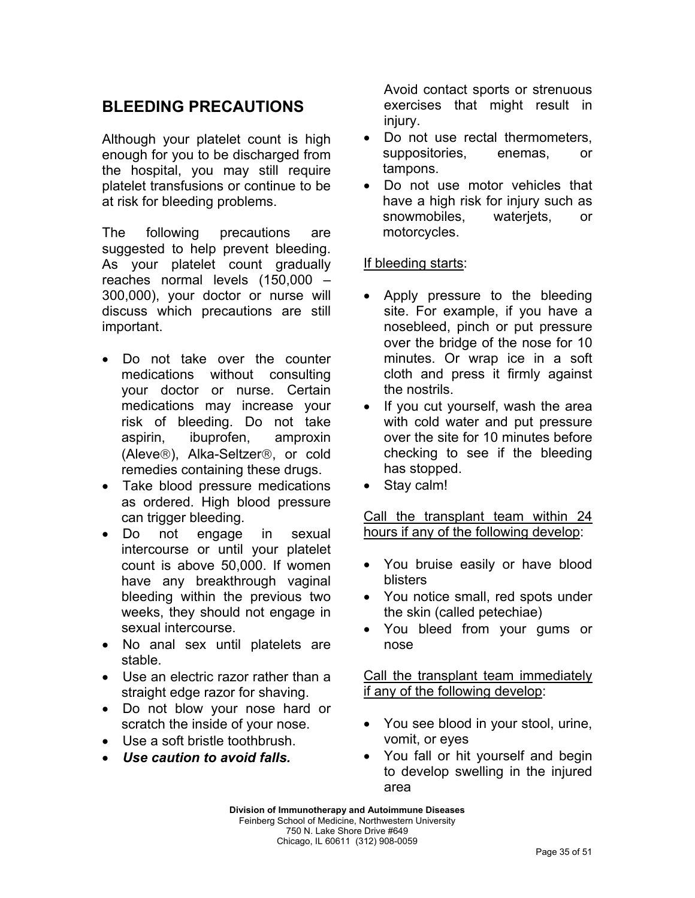## **BLEEDING PRECAUTIONS**

Although your platelet count is high enough for you to be discharged from the hospital, you may still require platelet transfusions or continue to be at risk for bleeding problems.

The following precautions are suggested to help prevent bleeding. As your platelet count gradually reaches normal levels (150,000 – 300,000), your doctor or nurse will discuss which precautions are still important.

- Do not take over the counter medications without consulting your doctor or nurse. Certain medications may increase your risk of bleeding. Do not take aspirin, ibuprofen, amproxin (Aleve®), Alka-Seltzer®, or cold remedies containing these drugs.
- Take blood pressure medications as ordered. High blood pressure can trigger bleeding.
- Do not engage in sexual intercourse or until your platelet count is above 50,000. If women have any breakthrough vaginal bleeding within the previous two weeks, they should not engage in sexual intercourse.
- No anal sex until platelets are stable.
- Use an electric razor rather than a straight edge razor for shaving.
- Do not blow your nose hard or scratch the inside of your nose.
- Use a soft bristle toothbrush.
- *Use caution to avoid falls.*

Avoid contact sports or strenuous exercises that might result in injury.

- Do not use rectal thermometers, suppositories, enemas, or tampons.
- Do not use motor vehicles that have a high risk for injury such as snowmobiles, waterjets, or motorcycles.

#### If bleeding starts:

- Apply pressure to the bleeding site. For example, if you have a nosebleed, pinch or put pressure over the bridge of the nose for 10 minutes. Or wrap ice in a soft cloth and press it firmly against the nostrils.
- If you cut yourself, wash the area with cold water and put pressure over the site for 10 minutes before checking to see if the bleeding has stopped.
- Stay calm!

Call the transplant team within 24 hours if any of the following develop:

- You bruise easily or have blood blisters
- You notice small, red spots under the skin (called petechiae)
- You bleed from your gums or nose

Call the transplant team immediately if any of the following develop:

- You see blood in your stool, urine, vomit, or eyes
- You fall or hit yourself and begin to develop swelling in the injured area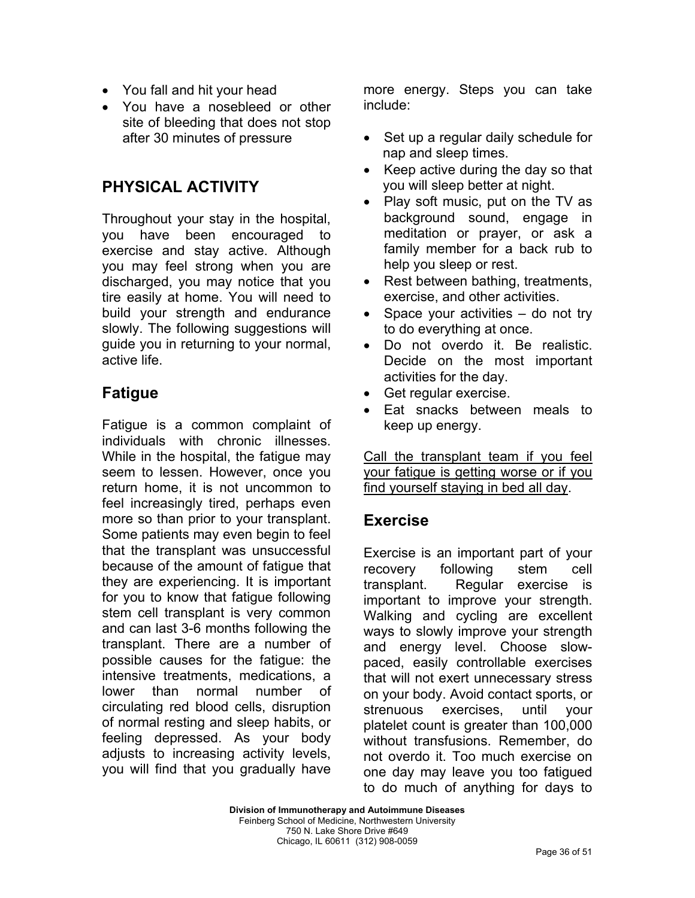- You fall and hit your head
- You have a nosebleed or other site of bleeding that does not stop after 30 minutes of pressure

### **PHYSICAL ACTIVITY**

Throughout your stay in the hospital, you have been encouraged to exercise and stay active. Although you may feel strong when you are discharged, you may notice that you tire easily at home. You will need to build your strength and endurance slowly. The following suggestions will guide you in returning to your normal, active life.

## **Fatigue**

Fatigue is a common complaint of individuals with chronic illnesses. While in the hospital, the fatigue may seem to lessen. However, once you return home, it is not uncommon to feel increasingly tired, perhaps even more so than prior to your transplant. Some patients may even begin to feel that the transplant was unsuccessful because of the amount of fatigue that they are experiencing. It is important for you to know that fatigue following stem cell transplant is very common and can last 3-6 months following the transplant. There are a number of possible causes for the fatigue: the intensive treatments, medications, a lower than normal number of circulating red blood cells, disruption of normal resting and sleep habits, or feeling depressed. As your body adjusts to increasing activity levels, you will find that you gradually have

more energy. Steps you can take include:

- Set up a regular daily schedule for nap and sleep times.
- Keep active during the day so that you will sleep better at night.
- Play soft music, put on the TV as background sound, engage in meditation or prayer, or ask a family member for a back rub to help you sleep or rest.
- Rest between bathing, treatments, exercise, and other activities.
- Space your activities do not try to do everything at once.
- Do not overdo it. Be realistic. Decide on the most important activities for the day.
- Get regular exercise.
- Eat snacks between meals to keep up energy.

Call the transplant team if you feel your fatigue is getting worse or if you find yourself staying in bed all day.

#### **Exercise**

Exercise is an important part of your recovery following stem cell transplant. Regular exercise is important to improve your strength. Walking and cycling are excellent ways to slowly improve your strength and energy level. Choose slowpaced, easily controllable exercises that will not exert unnecessary stress on your body. Avoid contact sports, or strenuous exercises, until your platelet count is greater than 100,000 without transfusions. Remember, do not overdo it. Too much exercise on one day may leave you too fatigued to do much of anything for days to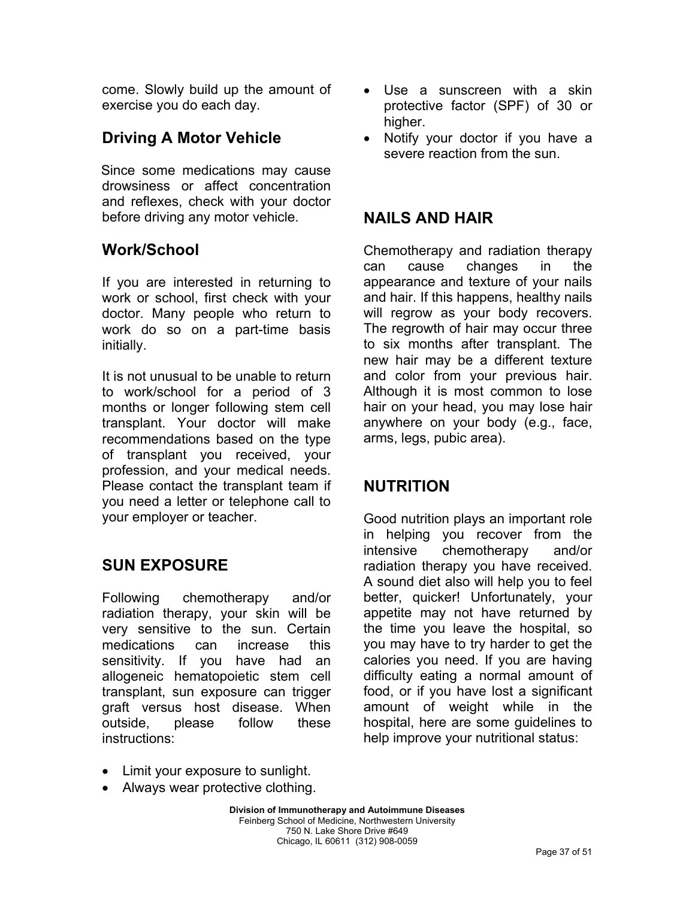come. Slowly build up the amount of exercise you do each day.

## **Driving A Motor Vehicle**

Since some medications may cause drowsiness or affect concentration and reflexes, check with your doctor before driving any motor vehicle.

### **Work/School**

If you are interested in returning to work or school, first check with your doctor. Many people who return to work do so on a part-time basis initially.

It is not unusual to be unable to return to work/school for a period of 3 months or longer following stem cell transplant. Your doctor will make recommendations based on the type of transplant you received, your profession, and your medical needs. Please contact the transplant team if you need a letter or telephone call to your employer or teacher.

## **SUN EXPOSURE**

Following chemotherapy and/or radiation therapy, your skin will be very sensitive to the sun. Certain medications can increase this sensitivity. If you have had an allogeneic hematopoietic stem cell transplant, sun exposure can trigger graft versus host disease. When outside, please follow these instructions:

- Use a sunscreen with a skin protective factor (SPF) of 30 or higher.
- Notify your doctor if you have a severe reaction from the sun.

### **NAILS AND HAIR**

Chemotherapy and radiation therapy can cause changes in the appearance and texture of your nails and hair. If this happens, healthy nails will regrow as your body recovers. The regrowth of hair may occur three to six months after transplant. The new hair may be a different texture and color from your previous hair. Although it is most common to lose hair on your head, you may lose hair anywhere on your body (e.g., face, arms, legs, pubic area).

### **NUTRITION**

Good nutrition plays an important role in helping you recover from the intensive chemotherapy and/or radiation therapy you have received. A sound diet also will help you to feel better, quicker! Unfortunately, your appetite may not have returned by the time you leave the hospital, so you may have to try harder to get the calories you need. If you are having difficulty eating a normal amount of food, or if you have lost a significant amount of weight while in the hospital, here are some guidelines to help improve your nutritional status:

- Limit your exposure to sunlight.
- Always wear protective clothing.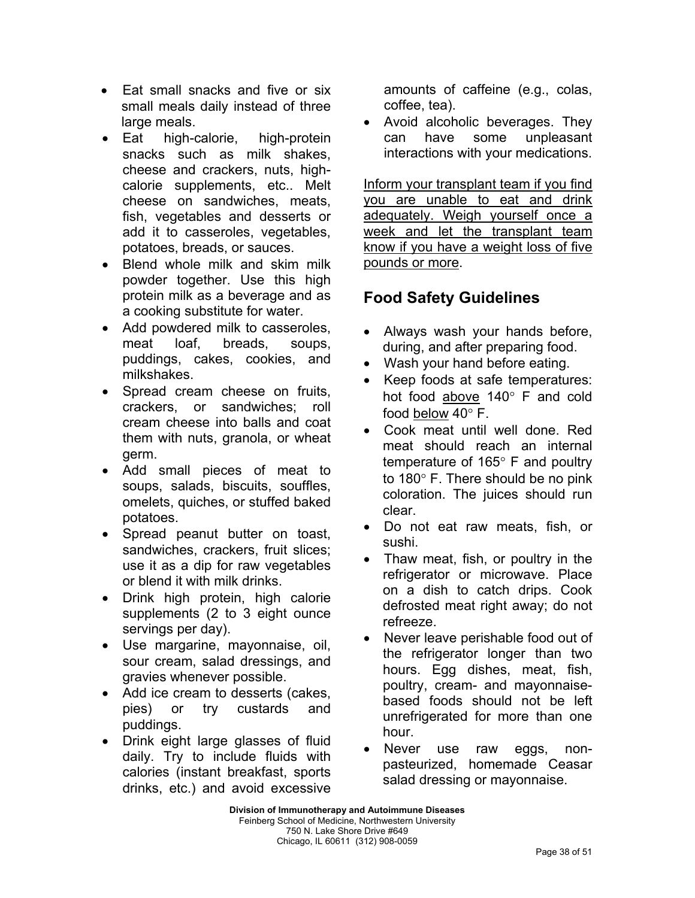- Eat small snacks and five or six small meals daily instead of three large meals.
- Eat high-calorie, high-protein snacks such as milk shakes, cheese and crackers, nuts, highcalorie supplements, etc.. Melt cheese on sandwiches, meats, fish, vegetables and desserts or add it to casseroles, vegetables, potatoes, breads, or sauces.
- Blend whole milk and skim milk powder together. Use this high protein milk as a beverage and as a cooking substitute for water.
- Add powdered milk to casseroles, meat loaf, breads, soups, puddings, cakes, cookies, and milkshakes.
- Spread cream cheese on fruits. crackers, or sandwiches; roll cream cheese into balls and coat them with nuts, granola, or wheat germ.
- Add small pieces of meat to soups, salads, biscuits, souffles, omelets, quiches, or stuffed baked potatoes.
- Spread peanut butter on toast, sandwiches, crackers, fruit slices; use it as a dip for raw vegetables or blend it with milk drinks.
- Drink high protein, high calorie supplements (2 to 3 eight ounce servings per day).
- Use margarine, mayonnaise, oil, sour cream, salad dressings, and gravies whenever possible.
- Add ice cream to desserts (cakes, pies) or try custards and puddings.
- Drink eight large glasses of fluid daily. Try to include fluids with calories (instant breakfast, sports drinks, etc.) and avoid excessive

amounts of caffeine (e.g., colas, coffee, tea).

• Avoid alcoholic beverages. They can have some unpleasant interactions with your medications.

Inform your transplant team if you find you are unable to eat and drink adequately. Weigh yourself once a week and let the transplant team know if you have a weight loss of five pounds or more.

# **Food Safety Guidelines**

- Always wash your hands before, during, and after preparing food.
- Wash your hand before eating.
- Keep foods at safe temperatures: hot food above 140° F and cold food below 40° F.
- Cook meat until well done. Red meat should reach an internal temperature of 165° F and poultry to 180° F. There should be no pink coloration. The juices should run clear.
- Do not eat raw meats, fish, or sushi.
- Thaw meat, fish, or poultry in the refrigerator or microwave. Place on a dish to catch drips. Cook defrosted meat right away; do not refreeze.
- Never leave perishable food out of the refrigerator longer than two hours. Egg dishes, meat, fish, poultry, cream- and mayonnaisebased foods should not be left unrefrigerated for more than one hour.
- Never use raw eggs, nonpasteurized, homemade Ceasar salad dressing or mayonnaise.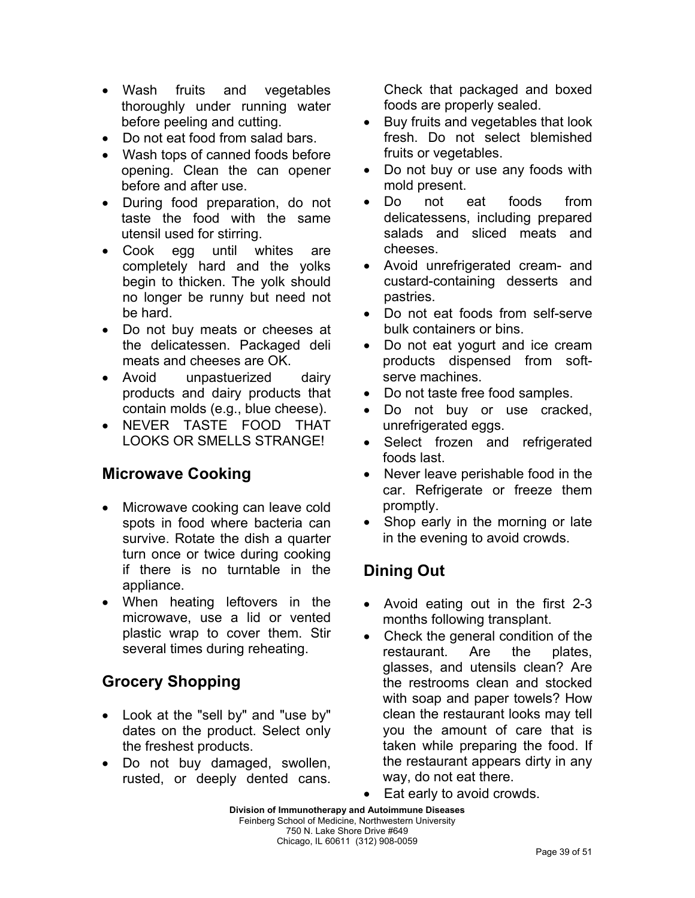- Wash fruits and vegetables thoroughly under running water before peeling and cutting.
- Do not eat food from salad bars.
- Wash tops of canned foods before opening. Clean the can opener before and after use.
- During food preparation, do not taste the food with the same utensil used for stirring.
- Cook egg until whites are completely hard and the yolks begin to thicken. The yolk should no longer be runny but need not be hard.
- Do not buy meats or cheeses at the delicatessen. Packaged deli meats and cheeses are OK.
- Avoid unpastuerized dairy products and dairy products that contain molds (e.g., blue cheese).
- NEVER TASTE FOOD THAT LOOKS OR SMELLS STRANGE!

### **Microwave Cooking**

- Microwave cooking can leave cold spots in food where bacteria can survive. Rotate the dish a quarter turn once or twice during cooking if there is no turntable in the appliance.
- When heating leftovers in the microwave, use a lid or vented plastic wrap to cover them. Stir several times during reheating.

## **Grocery Shopping**

- Look at the "sell by" and "use by" dates on the product. Select only the freshest products.
- Do not buy damaged, swollen, rusted, or deeply dented cans.

Check that packaged and boxed foods are properly sealed.

- Buy fruits and vegetables that look fresh. Do not select blemished fruits or vegetables.
- Do not buy or use any foods with mold present.
- Do not eat foods from delicatessens, including prepared salads and sliced meats and cheeses.
- Avoid unrefrigerated cream- and custard-containing desserts and pastries.
- Do not eat foods from self-serve bulk containers or bins.
- Do not eat yogurt and ice cream products dispensed from softserve machines.
- Do not taste free food samples.
- Do not buy or use cracked, unrefrigerated eggs.
- Select frozen and refrigerated foods last.
- Never leave perishable food in the car. Refrigerate or freeze them promptly.
- Shop early in the morning or late in the evening to avoid crowds.

## **Dining Out**

- Avoid eating out in the first 2-3 months following transplant.
- Check the general condition of the restaurant. Are the plates, glasses, and utensils clean? Are the restrooms clean and stocked with soap and paper towels? How clean the restaurant looks may tell you the amount of care that is taken while preparing the food. If the restaurant appears dirty in any way, do not eat there.
- Eat early to avoid crowds.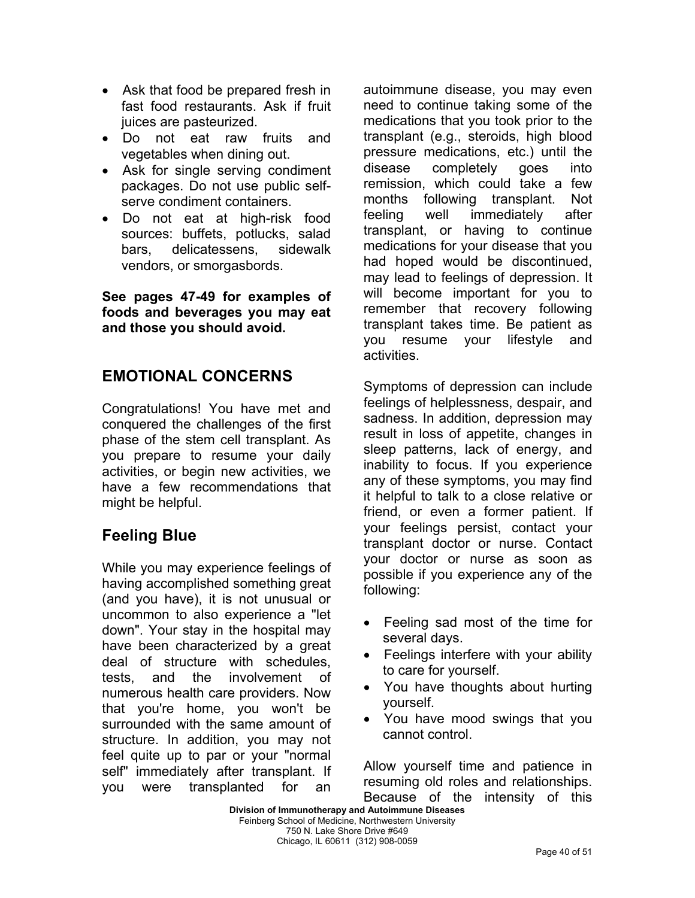- Ask that food be prepared fresh in fast food restaurants. Ask if fruit juices are pasteurized.
- Do not eat raw fruits and vegetables when dining out.
- Ask for single serving condiment packages. Do not use public selfserve condiment containers.
- Do not eat at high-risk food sources: buffets, potlucks, salad bars, delicatessens, sidewalk vendors, or smorgasbords.

**See pages 47-49 for examples of foods and beverages you may eat and those you should avoid.** 

## **EMOTIONAL CONCERNS**

Congratulations! You have met and conquered the challenges of the first phase of the stem cell transplant. As you prepare to resume your daily activities, or begin new activities, we have a few recommendations that might be helpful.

## **Feeling Blue**

While you may experience feelings of having accomplished something great (and you have), it is not unusual or uncommon to also experience a "let down". Your stay in the hospital may have been characterized by a great deal of structure with schedules, tests, and the involvement of numerous health care providers. Now that you're home, you won't be surrounded with the same amount of structure. In addition, you may not feel quite up to par or your "normal self" immediately after transplant. If you were transplanted for an autoimmune disease, you may even need to continue taking some of the medications that you took prior to the transplant (e.g., steroids, high blood pressure medications, etc.) until the disease completely goes into remission, which could take a few months following transplant. Not feeling well immediately after transplant, or having to continue medications for your disease that you had hoped would be discontinued, may lead to feelings of depression. It will become important for you to remember that recovery following transplant takes time. Be patient as you resume your lifestyle and activities.

Symptoms of depression can include feelings of helplessness, despair, and sadness. In addition, depression may result in loss of appetite, changes in sleep patterns, lack of energy, and inability to focus. If you experience any of these symptoms, you may find it helpful to talk to a close relative or friend, or even a former patient. If your feelings persist, contact your transplant doctor or nurse. Contact your doctor or nurse as soon as possible if you experience any of the following:

- Feeling sad most of the time for several days.
- Feelings interfere with your ability to care for yourself.
- You have thoughts about hurting yourself.
- You have mood swings that you cannot control.

Allow yourself time and patience in resuming old roles and relationships. Because of the intensity of this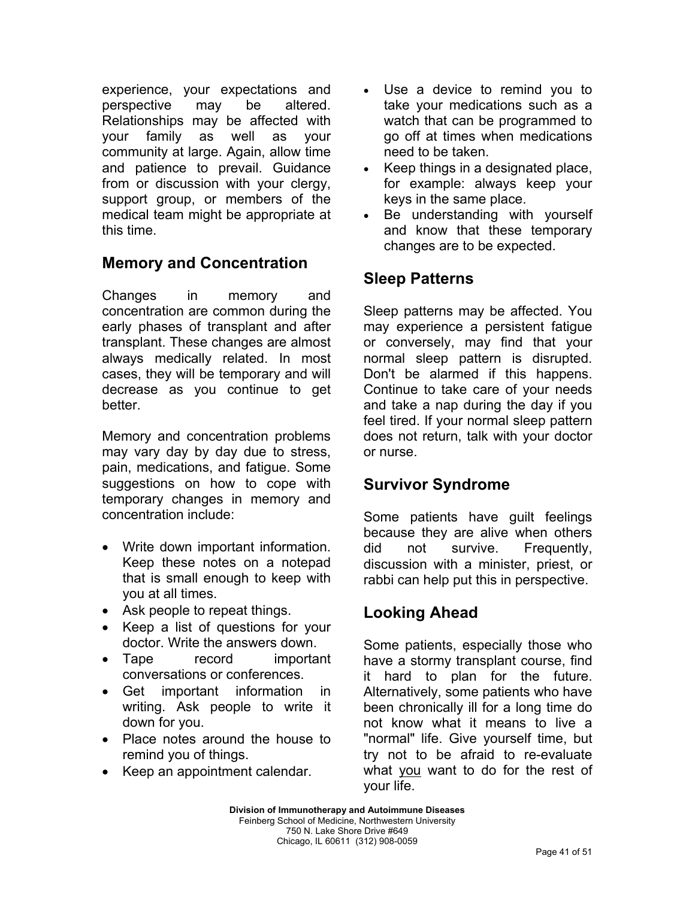experience, your expectations and perspective may be altered. Relationships may be affected with your family as well as your community at large. Again, allow time and patience to prevail. Guidance from or discussion with your clergy, support group, or members of the medical team might be appropriate at this time.

## **Memory and Concentration**

Changes in memory and concentration are common during the early phases of transplant and after transplant. These changes are almost always medically related. In most cases, they will be temporary and will decrease as you continue to get better.

Memory and concentration problems may vary day by day due to stress, pain, medications, and fatigue. Some suggestions on how to cope with temporary changes in memory and concentration include:

- Write down important information. Keep these notes on a notepad that is small enough to keep with you at all times.
- Ask people to repeat things.
- Keep a list of questions for your doctor. Write the answers down.
- Tape record important conversations or conferences.
- Get important information in writing. Ask people to write it down for you.
- Place notes around the house to remind you of things.
- Keep an appointment calendar.
- Use a device to remind you to take your medications such as a watch that can be programmed to go off at times when medications need to be taken.
- Keep things in a designated place, for example: always keep your keys in the same place.
- Be understanding with yourself and know that these temporary changes are to be expected.

## **Sleep Patterns**

Sleep patterns may be affected. You may experience a persistent fatigue or conversely, may find that your normal sleep pattern is disrupted. Don't be alarmed if this happens. Continue to take care of your needs and take a nap during the day if you feel tired. If your normal sleep pattern does not return, talk with your doctor or nurse.

## **Survivor Syndrome**

Some patients have guilt feelings because they are alive when others did not survive. Frequently, discussion with a minister, priest, or rabbi can help put this in perspective.

## **Looking Ahead**

Some patients, especially those who have a stormy transplant course, find it hard to plan for the future. Alternatively, some patients who have been chronically ill for a long time do not know what it means to live a "normal" life. Give yourself time, but try not to be afraid to re-evaluate what you want to do for the rest of your life.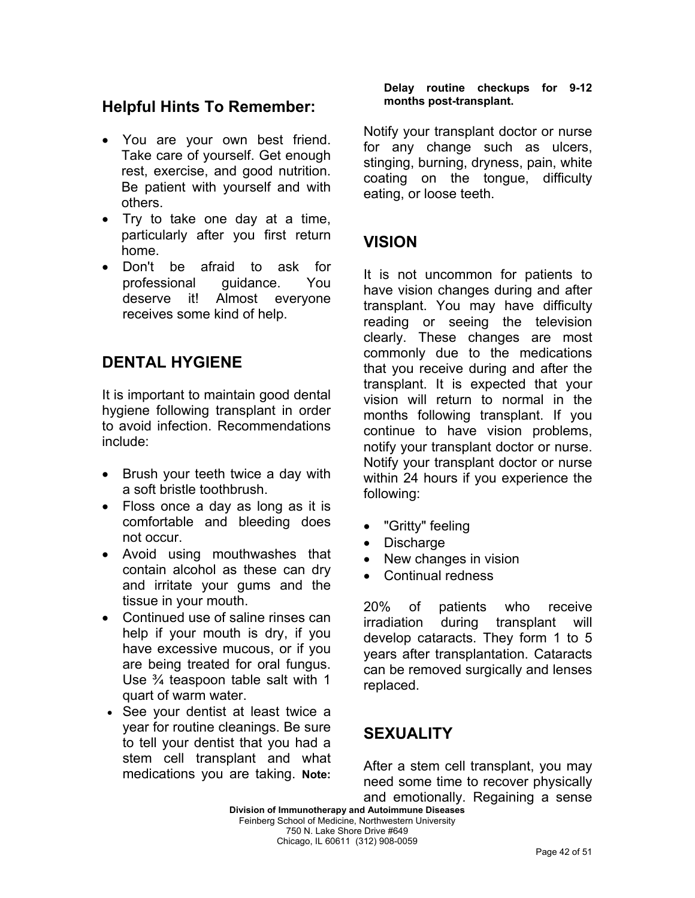### **Helpful Hints To Remember:**

- You are your own best friend. Take care of yourself. Get enough rest, exercise, and good nutrition. Be patient with yourself and with others.
- Try to take one day at a time, particularly after you first return home.
- Don't be afraid to ask for professional guidance. You deserve it! Almost everyone receives some kind of help.

### **DENTAL HYGIENE**

It is important to maintain good dental hygiene following transplant in order to avoid infection. Recommendations include:

- Brush your teeth twice a day with a soft bristle toothbrush.
- Floss once a day as long as it is comfortable and bleeding does not occur.
- Avoid using mouthwashes that contain alcohol as these can dry and irritate your gums and the tissue in your mouth.
- Continued use of saline rinses can help if your mouth is dry, if you have excessive mucous, or if you are being treated for oral fungus. Use ¾ teaspoon table salt with 1 quart of warm water.
- See your dentist at least twice a year for routine cleanings. Be sure to tell your dentist that you had a stem cell transplant and what medications you are taking. **Note:**

#### **Delay routine checkups for 9-12 months post-transplant.**

Notify your transplant doctor or nurse for any change such as ulcers, stinging, burning, dryness, pain, white coating on the tongue, difficulty eating, or loose teeth.

## **VISION**

It is not uncommon for patients to have vision changes during and after transplant. You may have difficulty reading or seeing the television clearly. These changes are most commonly due to the medications that you receive during and after the transplant. It is expected that your vision will return to normal in the months following transplant. If you continue to have vision problems, notify your transplant doctor or nurse. Notify your transplant doctor or nurse within 24 hours if you experience the following:

- "Gritty" feeling
- Discharge
- New changes in vision
- Continual redness

20% of patients who receive irradiation during transplant will develop cataracts. They form 1 to 5 years after transplantation. Cataracts can be removed surgically and lenses replaced.

## **SEXUALITY**

After a stem cell transplant, you may need some time to recover physically and emotionally. Regaining a sense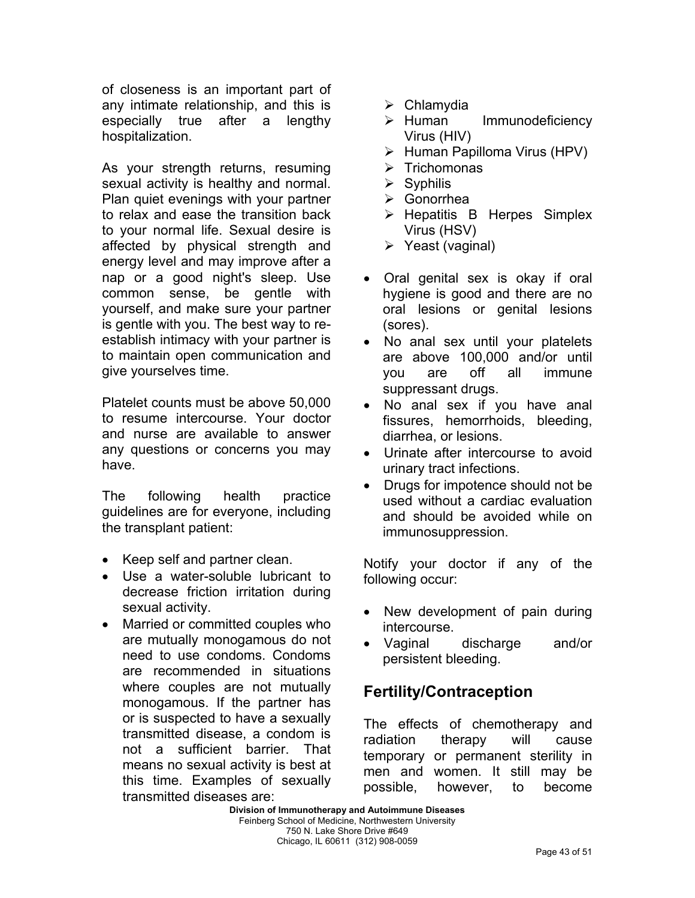of closeness is an important part of any intimate relationship, and this is especially true after a lengthy hospitalization.

As your strength returns, resuming sexual activity is healthy and normal. Plan quiet evenings with your partner to relax and ease the transition back to your normal life. Sexual desire is affected by physical strength and energy level and may improve after a nap or a good night's sleep. Use common sense, be gentle with yourself, and make sure your partner is gentle with you. The best way to reestablish intimacy with your partner is to maintain open communication and give yourselves time.

Platelet counts must be above 50,000 to resume intercourse. Your doctor and nurse are available to answer any questions or concerns you may have.

The following health practice guidelines are for everyone, including the transplant patient:

- Keep self and partner clean.
- Use a water-soluble lubricant to decrease friction irritation during sexual activity.
- Married or committed couples who are mutually monogamous do not need to use condoms. Condoms are recommended in situations where couples are not mutually monogamous. If the partner has or is suspected to have a sexually transmitted disease, a condom is not a sufficient barrier. That means no sexual activity is best at this time. Examples of sexually transmitted diseases are:
- $\triangleright$  Chlamydia
- $\triangleright$  Human Immunodeficiency Virus (HIV)
- ¾ Human Papilloma Virus (HPV)
- $\triangleright$  Trichomonas
- $\triangleright$  Syphilis
- ¾ Gonorrhea
- $\triangleright$  Hepatitis B Herpes Simplex Virus (HSV)
- $\triangleright$  Yeast (vaginal)
- Oral genital sex is okay if oral hygiene is good and there are no oral lesions or genital lesions (sores).
- No anal sex until your platelets are above 100,000 and/or until you are off all immune suppressant drugs.
- No anal sex if you have anal fissures, hemorrhoids, bleeding, diarrhea, or lesions.
- Urinate after intercourse to avoid urinary tract infections.
- Drugs for impotence should not be used without a cardiac evaluation and should be avoided while on immunosuppression.

Notify your doctor if any of the following occur:

- New development of pain during intercourse.
- Vaginal discharge and/or persistent bleeding.

## **Fertility/Contraception**

The effects of chemotherapy and radiation therapy will cause temporary or permanent sterility in men and women. It still may be possible, however, to become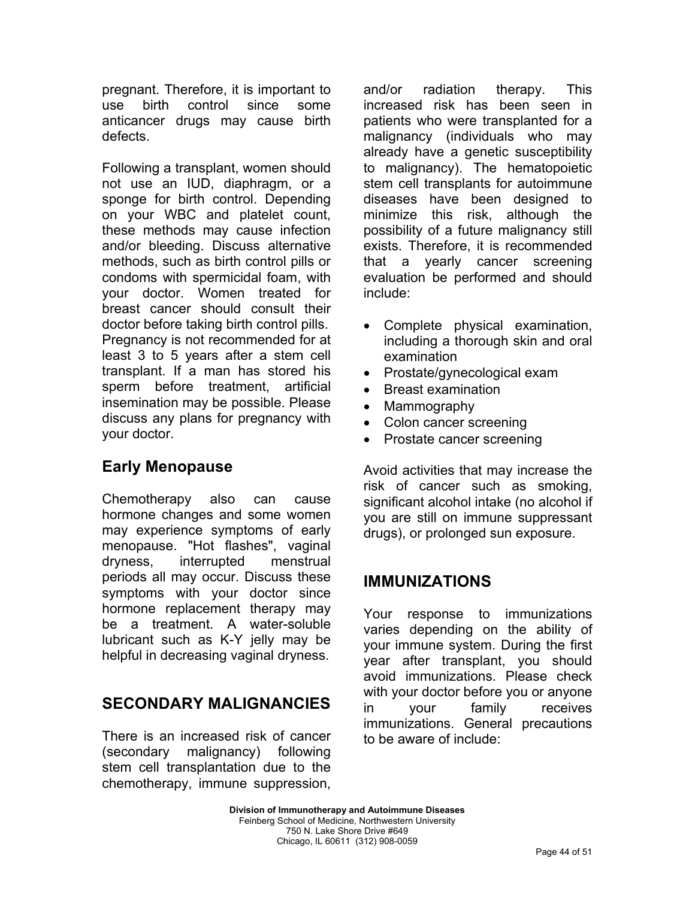pregnant. Therefore, it is important to use birth control since some anticancer drugs may cause birth defects.

Following a transplant, women should not use an IUD, diaphragm, or a sponge for birth control. Depending on your WBC and platelet count, these methods may cause infection and/or bleeding. Discuss alternative methods, such as birth control pills or condoms with spermicidal foam, with your doctor. Women treated for breast cancer should consult their doctor before taking birth control pills. Pregnancy is not recommended for at least 3 to 5 years after a stem cell transplant. If a man has stored his sperm before treatment, artificial insemination may be possible. Please discuss any plans for pregnancy with your doctor.

## **Early Menopause**

Chemotherapy also can cause hormone changes and some women may experience symptoms of early menopause. "Hot flashes", vaginal dryness, interrupted menstrual periods all may occur. Discuss these symptoms with your doctor since hormone replacement therapy may be a treatment. A water-soluble lubricant such as K-Y jelly may be helpful in decreasing vaginal dryness.

## **SECONDARY MALIGNANCIES**

There is an increased risk of cancer (secondary malignancy) following stem cell transplantation due to the chemotherapy, immune suppression, and/or radiation therapy. This increased risk has been seen in patients who were transplanted for a malignancy (individuals who may already have a genetic susceptibility to malignancy). The hematopoietic stem cell transplants for autoimmune diseases have been designed to minimize this risk, although the possibility of a future malignancy still exists. Therefore, it is recommended that a yearly cancer screening evaluation be performed and should include:

- Complete physical examination, including a thorough skin and oral examination
- Prostate/gynecological exam
- Breast examination
- Mammography
- Colon cancer screening
- Prostate cancer screening

Avoid activities that may increase the risk of cancer such as smoking, significant alcohol intake (no alcohol if you are still on immune suppressant drugs), or prolonged sun exposure.

### **IMMUNIZATIONS**

Your response to immunizations varies depending on the ability of your immune system. During the first year after transplant, you should avoid immunizations. Please check with your doctor before you or anyone in your family receives immunizations. General precautions to be aware of include: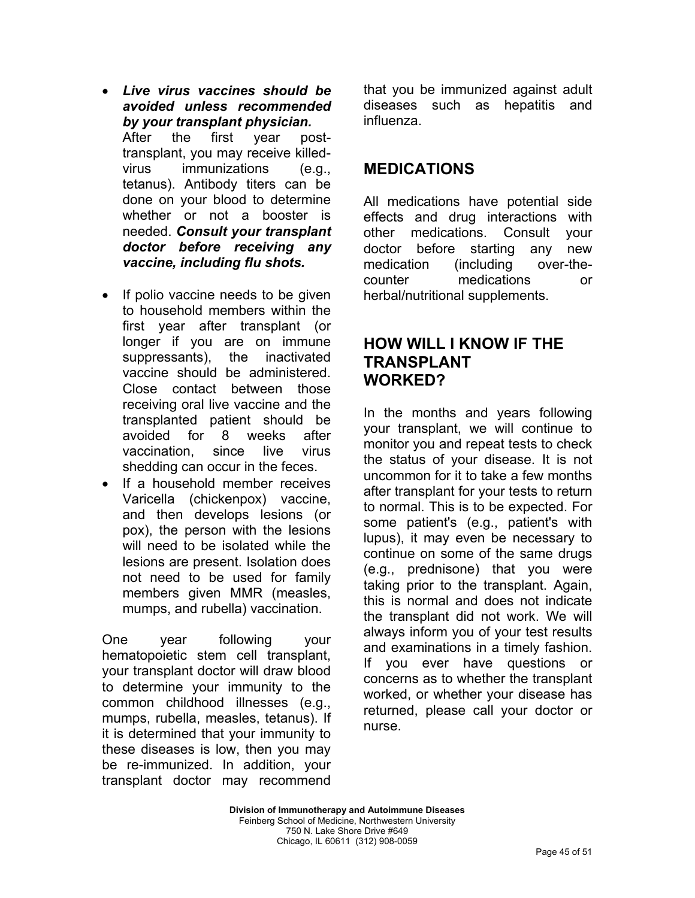- *Live virus vaccines should be avoided unless recommended by your transplant physician.*  After the first year posttransplant, you may receive killedvirus immunizations (e.g., tetanus). Antibody titers can be done on your blood to determine whether or not a booster is needed. *Consult your transplant doctor before receiving any vaccine, including flu shots.*
- If polio vaccine needs to be given to household members within the first year after transplant (or longer if you are on immune suppressants), the inactivated vaccine should be administered. Close contact between those receiving oral live vaccine and the transplanted patient should be avoided for 8 weeks after vaccination, since live virus shedding can occur in the feces.
- If a household member receives Varicella (chickenpox) vaccine, and then develops lesions (or pox), the person with the lesions will need to be isolated while the lesions are present. Isolation does not need to be used for family members given MMR (measles, mumps, and rubella) vaccination.

One year following your hematopoietic stem cell transplant, your transplant doctor will draw blood to determine your immunity to the common childhood illnesses (e.g., mumps, rubella, measles, tetanus). If it is determined that your immunity to these diseases is low, then you may be re-immunized. In addition, your transplant doctor may recommend that you be immunized against adult diseases such as hepatitis and influenza.

### **MEDICATIONS**

All medications have potential side effects and drug interactions with other medications. Consult your doctor before starting any new medication (including over-thecounter medications or herbal/nutritional supplements.

### **HOW WILL I KNOW IF THE TRANSPLANT WORKED?**

In the months and years following your transplant, we will continue to monitor you and repeat tests to check the status of your disease. It is not uncommon for it to take a few months after transplant for your tests to return to normal. This is to be expected. For some patient's (e.g., patient's with lupus), it may even be necessary to continue on some of the same drugs (e.g., prednisone) that you were taking prior to the transplant. Again, this is normal and does not indicate the transplant did not work. We will always inform you of your test results and examinations in a timely fashion. If you ever have questions or concerns as to whether the transplant worked, or whether your disease has returned, please call your doctor or nurse.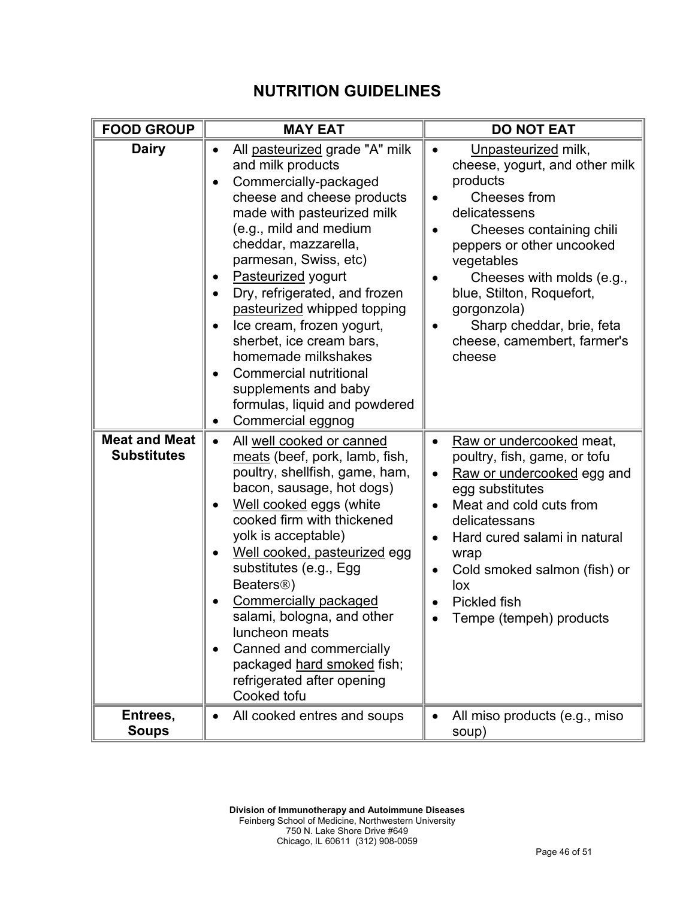## **NUTRITION GUIDELINES**

| <b>FOOD GROUP</b>                          | <b>MAY EAT</b>                                                                                                                                                                                                                                                                                                                                                                                                                                                                                                        | <b>DO NOT EAT</b>                                                                                                                                                                                                                                                                                                                                |
|--------------------------------------------|-----------------------------------------------------------------------------------------------------------------------------------------------------------------------------------------------------------------------------------------------------------------------------------------------------------------------------------------------------------------------------------------------------------------------------------------------------------------------------------------------------------------------|--------------------------------------------------------------------------------------------------------------------------------------------------------------------------------------------------------------------------------------------------------------------------------------------------------------------------------------------------|
| <b>Dairy</b>                               | All pasteurized grade "A" milk<br>$\bullet$<br>and milk products<br>Commercially-packaged<br>cheese and cheese products<br>made with pasteurized milk<br>(e.g., mild and medium<br>cheddar, mazzarella,<br>parmesan, Swiss, etc)<br>Pasteurized yogurt<br>Dry, refrigerated, and frozen<br>pasteurized whipped topping<br>Ice cream, frozen yogurt,<br>sherbet, ice cream bars,<br>homemade milkshakes<br><b>Commercial nutritional</b><br>supplements and baby<br>formulas, liquid and powdered<br>Commercial eggnog | Unpasteurized milk,<br>$\bullet$<br>cheese, yogurt, and other milk<br>products<br>Cheeses from<br>delicatessens<br>Cheeses containing chili<br>peppers or other uncooked<br>vegetables<br>Cheeses with molds (e.g.,<br>blue, Stilton, Roquefort,<br>gorgonzola)<br>Sharp cheddar, brie, feta<br>cheese, camembert, farmer's<br>cheese            |
| <b>Meat and Meat</b><br><b>Substitutes</b> | All well cooked or canned<br>$\bullet$<br>meats (beef, pork, lamb, fish,<br>poultry, shellfish, game, ham,<br>bacon, sausage, hot dogs)<br>Well cooked eggs (white<br>cooked firm with thickened<br>yolk is acceptable)<br>Well cooked, pasteurized egg<br>substitutes (e.g., Egg<br>Beaters <sup>®</sup> )<br><b>Commercially packaged</b><br>salami, bologna, and other<br>luncheon meats<br>Canned and commercially<br>packaged hard smoked fish;<br>refrigerated after opening<br>Cooked tofu                     | Raw or undercooked meat,<br>$\bullet$<br>poultry, fish, game, or tofu<br>Raw or undercooked egg and<br>$\bullet$<br>egg substitutes<br>Meat and cold cuts from<br>delicatessans<br>Hard cured salami in natural<br>$\bullet$<br>wrap<br>Cold smoked salmon (fish) or<br>$\bullet$<br>lox<br>Pickled fish<br>$\bullet$<br>Tempe (tempeh) products |
| Entrees,<br><b>Soups</b>                   | All cooked entres and soups                                                                                                                                                                                                                                                                                                                                                                                                                                                                                           | All miso products (e.g., miso<br>$\bullet$<br>soup)                                                                                                                                                                                                                                                                                              |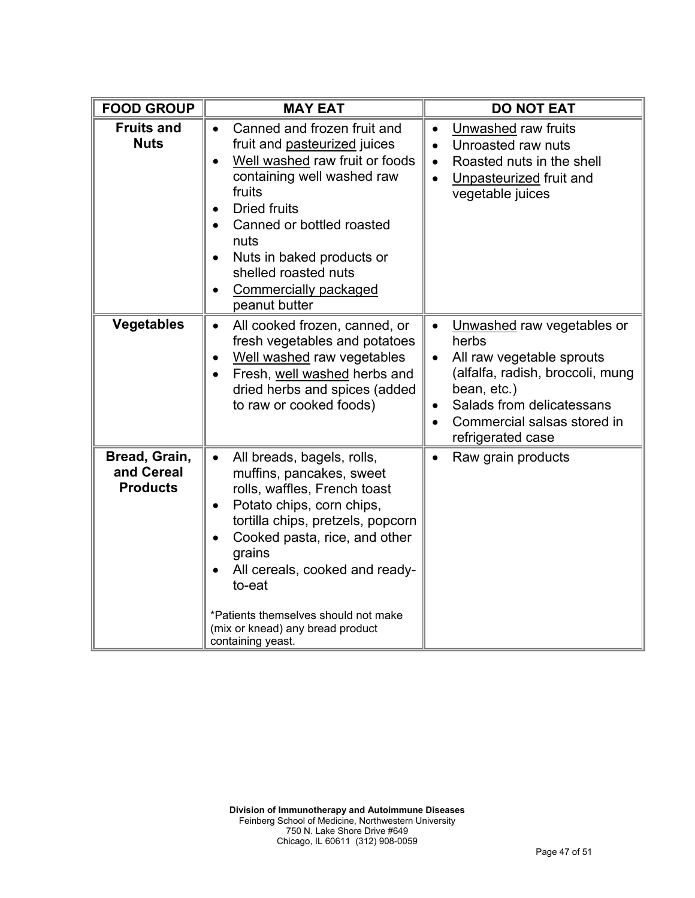| <b>FOOD GROUP</b>                              | <b>MAY EAT</b>                                                                                                                                                                                                                                                                                                                                                             | <b>DO NOT EAT</b>                                                                                                                                                                                                                                        |
|------------------------------------------------|----------------------------------------------------------------------------------------------------------------------------------------------------------------------------------------------------------------------------------------------------------------------------------------------------------------------------------------------------------------------------|----------------------------------------------------------------------------------------------------------------------------------------------------------------------------------------------------------------------------------------------------------|
| <b>Fruits and</b><br><b>Nuts</b>               | Canned and frozen fruit and<br>$\bullet$<br>fruit and pasteurized juices<br>Well washed raw fruit or foods<br>containing well washed raw<br>fruits<br><b>Dried fruits</b><br>Canned or bottled roasted<br>nuts<br>Nuts in baked products or<br>$\bullet$<br>shelled roasted nuts<br><b>Commercially packaged</b><br>peanut butter                                          | Unwashed raw fruits<br>$\bullet$<br>Unroasted raw nuts<br>$\bullet$<br>Roasted nuts in the shell<br>$\bullet$<br>Unpasteurized fruit and<br>$\bullet$<br>vegetable juices                                                                                |
| <b>Vegetables</b>                              | All cooked frozen, canned, or<br>fresh vegetables and potatoes<br>Well washed raw vegetables<br>Fresh, well washed herbs and<br>dried herbs and spices (added<br>to raw or cooked foods)                                                                                                                                                                                   | Unwashed raw vegetables or<br>$\bullet$<br>herbs<br>All raw vegetable sprouts<br>$\bullet$<br>(alfalfa, radish, broccoli, mung<br>bean, etc.)<br>Salads from delicatessans<br>$\bullet$<br>Commercial salsas stored in<br>$\bullet$<br>refrigerated case |
| Bread, Grain,<br>and Cereal<br><b>Products</b> | All breads, bagels, rolls,<br>$\bullet$<br>muffins, pancakes, sweet<br>rolls, waffles, French toast<br>Potato chips, corn chips,<br>$\bullet$<br>tortilla chips, pretzels, popcorn<br>Cooked pasta, rice, and other<br>grains<br>All cereals, cooked and ready-<br>to-eat<br>*Patients themselves should not make<br>(mix or knead) any bread product<br>containing yeast. | Raw grain products<br>$\bullet$                                                                                                                                                                                                                          |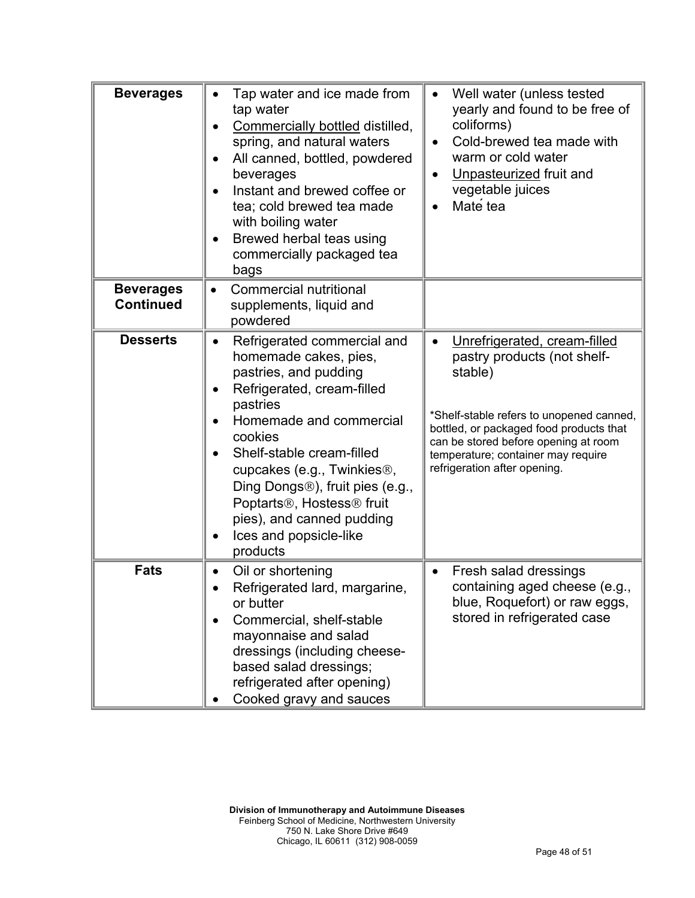| <b>Beverages</b>                     | Tap water and ice made from<br>tap water<br>Commercially bottled distilled,<br>spring, and natural waters<br>All canned, bottled, powdered<br>beverages<br>Instant and brewed coffee or<br>tea; cold brewed tea made<br>with boiling water<br>Brewed herbal teas using<br>commercially packaged tea<br>bags                                                                                                    | Well water (unless tested<br>$\bullet$<br>yearly and found to be free of<br>coliforms)<br>Cold-brewed tea made with<br>$\bullet$<br>warm or cold water<br>Unpasteurized fruit and<br>vegetable juices<br>Mate tea                                                                        |
|--------------------------------------|----------------------------------------------------------------------------------------------------------------------------------------------------------------------------------------------------------------------------------------------------------------------------------------------------------------------------------------------------------------------------------------------------------------|------------------------------------------------------------------------------------------------------------------------------------------------------------------------------------------------------------------------------------------------------------------------------------------|
| <b>Beverages</b><br><b>Continued</b> | <b>Commercial nutritional</b><br>supplements, liquid and<br>powdered                                                                                                                                                                                                                                                                                                                                           |                                                                                                                                                                                                                                                                                          |
| <b>Desserts</b>                      | Refrigerated commercial and<br>homemade cakes, pies,<br>pastries, and pudding<br>Refrigerated, cream-filled<br>pastries<br>Homemade and commercial<br>cookies<br>Shelf-stable cream-filled<br>cupcakes (e.g., Twinkies <sup>®</sup> ,<br>Ding Dongs <sup>®</sup> ), fruit pies (e.g.,<br>Poptarts <sup>®</sup> , Hostess <sup>®</sup> fruit<br>pies), and canned pudding<br>Ices and popsicle-like<br>products | Unrefrigerated, cream-filled<br>$\bullet$<br>pastry products (not shelf-<br>stable)<br>*Shelf-stable refers to unopened canned,<br>bottled, or packaged food products that<br>can be stored before opening at room<br>temperature; container may require<br>refrigeration after opening. |
| <b>Fats</b>                          | Oil or shortening<br>Refrigerated lard, margarine,<br>or butter<br>Commercial, shelf-stable<br>mayonnaise and salad<br>dressings (including cheese-<br>based salad dressings;<br>refrigerated after opening)<br>Cooked gravy and sauces                                                                                                                                                                        | Fresh salad dressings<br>$\bullet$<br>containing aged cheese (e.g.,<br>blue, Roquefort) or raw eggs,<br>stored in refrigerated case                                                                                                                                                      |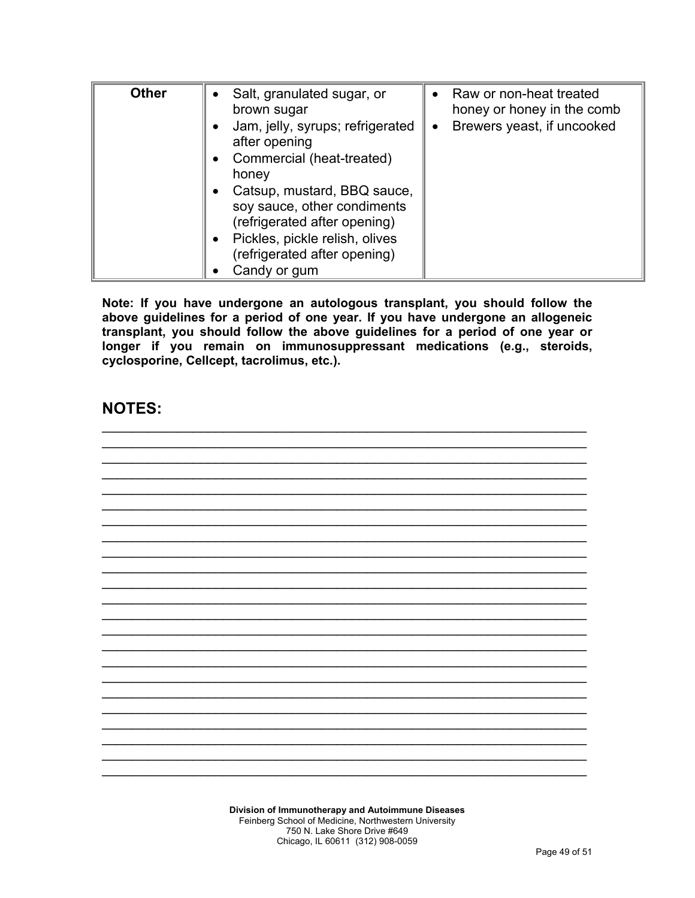| <b>Other</b> | Salt, granulated sugar, or<br>brown sugar<br>Jam, jelly, syrups; refrigerated<br>after opening<br>Commercial (heat-treated)<br>honey<br>Catsup, mustard, BBQ sauce,<br>soy sauce, other condiments<br>(refrigerated after opening)<br>Pickles, pickle relish, olives<br>(refrigerated after opening) | Raw or non-heat treated<br>$\bullet$<br>honey or honey in the comb<br>Brewers yeast, if uncooked<br>$\bullet$ |
|--------------|------------------------------------------------------------------------------------------------------------------------------------------------------------------------------------------------------------------------------------------------------------------------------------------------------|---------------------------------------------------------------------------------------------------------------|
|              | Candy or gum                                                                                                                                                                                                                                                                                         |                                                                                                               |

**Note: If you have undergone an autologous transplant, you should follow the above guidelines for a period of one year. If you have undergone an allogeneic transplant, you should follow the above guidelines for a period of one year or longer if you remain on immunosuppressant medications (e.g., steroids, cyclosporine, Cellcept, tacrolimus, etc.).**

#### **NOTES:**

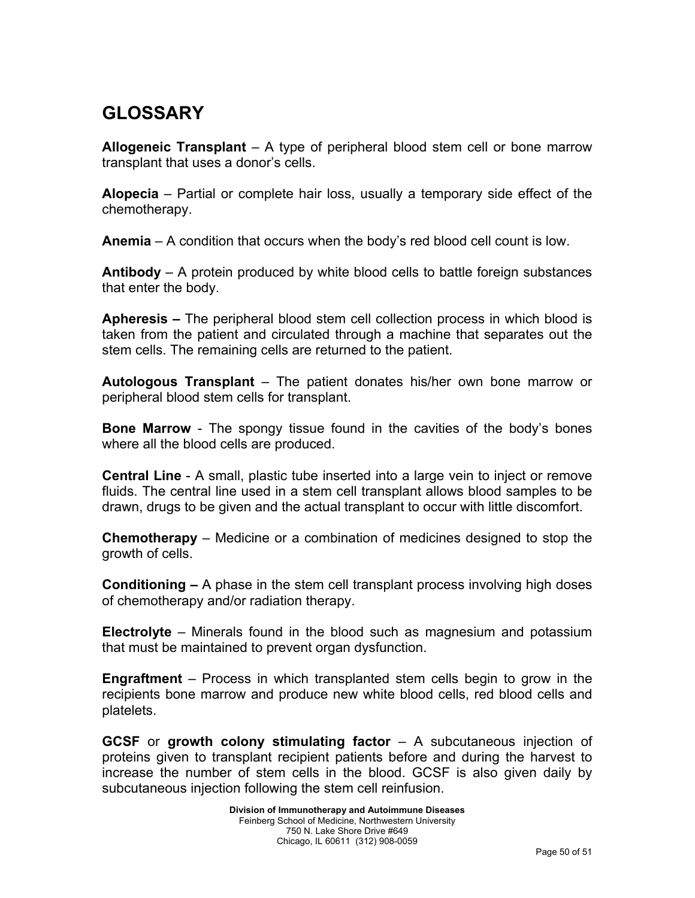# **GLOSSARY**

**Allogeneic Transplant** – A type of peripheral blood stem cell or bone marrow transplant that uses a donor's cells.

**Alopecia** – Partial or complete hair loss, usually a temporary side effect of the chemotherapy.

**Anemia** – A condition that occurs when the body's red blood cell count is low.

**Antibody** – A protein produced by white blood cells to battle foreign substances that enter the body.

**Apheresis –** The peripheral blood stem cell collection process in which blood is taken from the patient and circulated through a machine that separates out the stem cells. The remaining cells are returned to the patient.

**Autologous Transplant** – The patient donates his/her own bone marrow or peripheral blood stem cells for transplant.

**Bone Marrow** - The spongy tissue found in the cavities of the body's bones where all the blood cells are produced.

**Central Line** - A small, plastic tube inserted into a large vein to inject or remove fluids. The central line used in a stem cell transplant allows blood samples to be drawn, drugs to be given and the actual transplant to occur with little discomfort.

**Chemotherapy** – Medicine or a combination of medicines designed to stop the growth of cells.

**Conditioning –** A phase in the stem cell transplant process involving high doses of chemotherapy and/or radiation therapy.

**Electrolyte** – Minerals found in the blood such as magnesium and potassium that must be maintained to prevent organ dysfunction.

**Engraftment** – Process in which transplanted stem cells begin to grow in the recipients bone marrow and produce new white blood cells, red blood cells and platelets.

**GCSF** or **growth colony stimulating factor** – A subcutaneous injection of proteins given to transplant recipient patients before and during the harvest to increase the number of stem cells in the blood. GCSF is also given daily by subcutaneous injection following the stem cell reinfusion.